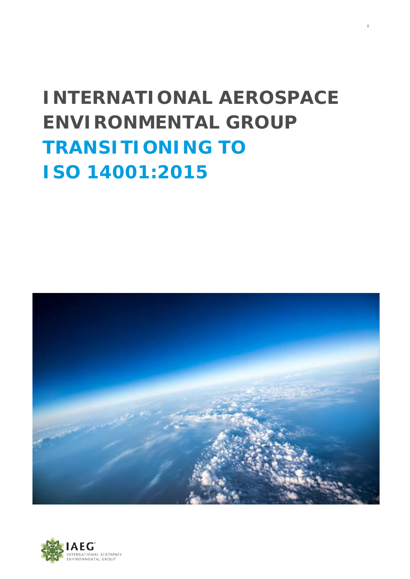# **INTERNATIONAL AEROSPACE ENVIRONMENTAL GROUP TRANSITIONING TO ISO 14001:2015**

i



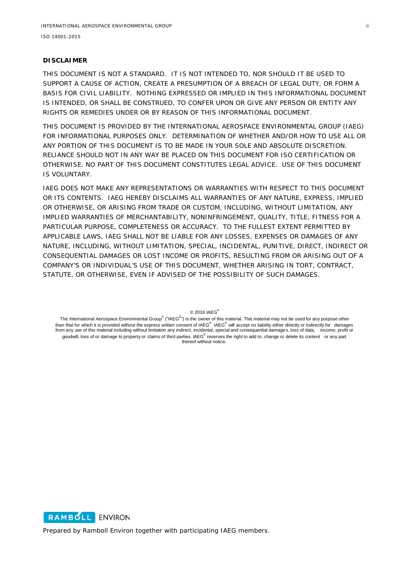#### **DISCLAIMER**

THIS DOCUMENT IS NOT A STANDARD. IT IS NOT INTENDED TO, NOR SHOULD IT BE USED TO SUPPORT A CAUSE OF ACTION, CREATE A PRESUMPTION OF A BREACH OF LEGAL DUTY, OR FORM A BASIS FOR CIVIL LIABILITY. NOTHING EXPRESSED OR IMPLIED IN THIS INFORMATIONAL DOCUMENT IS INTENDED, OR SHALL BE CONSTRUED, TO CONFER UPON OR GIVE ANY PERSON OR ENTITY ANY RIGHTS OR REMEDIES UNDER OR BY REASON OF THIS INFORMATIONAL DOCUMENT.

THIS DOCUMENT IS PROVIDED BY THE INTERNATIONAL AEROSPACE ENVIRONMENTAL GROUP (IAEG) FOR INFORMATIONAL PURPOSES ONLY. DETERMINATION OF WHETHER AND/OR HOW TO USE ALL OR ANY PORTION OF THIS DOCUMENT IS TO BE MADE IN YOUR SOLE AND ABSOLUTE DISCRETION. RELIANCE SHOULD NOT IN ANY WAY BE PLACED ON THIS DOCUMENT FOR ISO CERTIFICATION OR OTHERWISE. NO PART OF THIS DOCUMENT CONSTITUTES LEGAL ADVICE. USE OF THIS DOCUMENT IS VOLUNTARY.

IAEG DOES NOT MAKE ANY REPRESENTATIONS OR WARRANTIES WITH RESPECT TO THIS DOCUMENT OR ITS CONTENTS. IAEG HEREBY DISCLAIMS ALL WARRANTIES OF ANY NATURE, EXPRESS, IMPLIED OR OTHERWISE, OR ARISING FROM TRADE OR CUSTOM, INCLUDING, WITHOUT LIMITATION, ANY IMPLIED WARRANTIES OF MERCHANTABILITY, NONINFRINGEMENT, QUALITY, TITLE, FITNESS FOR A PARTICULAR PURPOSE, COMPLETENESS OR ACCURACY. TO THE FULLEST EXTENT PERMITTED BY APPLICABLE LAWS, IAEG SHALL NOT BE LIABLE FOR ANY LOSSES, EXPENSES OR DAMAGES OF ANY NATURE, INCLUDING, WITHOUT LIMITATION, SPECIAL, INCIDENTAL, PUNITIVE, DIRECT, INDIRECT OR CONSEQUENTIAL DAMAGES OR LOST INCOME OR PROFITS, RESULTING FROM OR ARISING OUT OF A COMPANY'S OR INDIVIDUAL'S USE OF THIS DOCUMENT, WHETHER ARISING IN TORT, CONTRACT, STATUTE, OR OTHERWISE, EVEN IF ADVISED OF THE POSSIBILITY OF SUCH DAMAGES.

© 2016 IAEG®

The International Aerospace Environmental Group® ("IAEG®") is the owner of this material. This material may not be used for any purpose other than that for which it is provided without the express written consent of IAEG<sup>®</sup>. IAEG<sup>®</sup> will accept no liability either directly or indirectly for damages<br>from any use of this material including without limitation any i goodwill, loss of or damage to property or claims of third parties. IAEG® reserves the right to add to, change or delete its content or any part thereof without notice.

RAMBOLL ENVIRON

Prepared by Ramboll Environ together with participating IAEG members.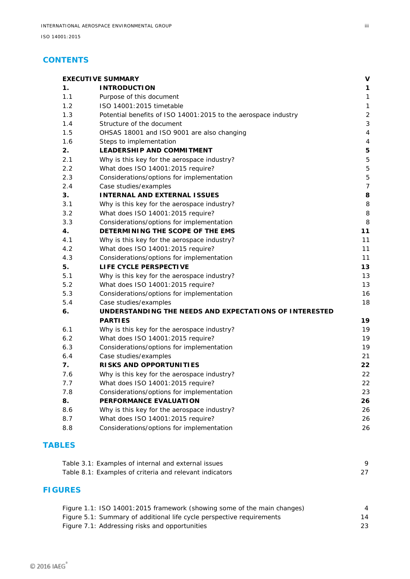## **CONTENTS**

| 1.<br><b>INTRODUCTION</b><br>1.1<br>Purpose of this document<br>1.2<br>ISO 14001:2015 timetable<br>1.3<br>1.4<br>Structure of the document<br>1.6<br>Steps to implementation<br>2.<br><b>LEADERSHIP AND COMMITMENT</b><br>2.1<br>What does ISO 14001:2015 require?<br>Case studies/examples<br>3.<br>3.2<br>What does ISO 14001:2015 require?<br>3.3<br>4.<br>What does ISO 14001:2015 require?<br>LIFE CYCLE PERSPECTIVE<br>What does ISO 14001:2015 require?<br>Case studies/examples<br>6.<br><b>PARTIES</b><br>What does ISO 14001:2015 require?<br>Case studies/examples<br>7.<br>RISKS AND OPPORTUNITIES<br>What does ISO 14001:2015 require?<br>7.7<br>7.8<br>PERFORMANCE EVALUATION | Potential benefits of ISO 14001:2015 to the aerospace industry<br>OHSAS 18001 and ISO 9001 are also changing<br>Why is this key for the aerospace industry?<br>Considerations/options for implementation<br><b>INTERNAL AND EXTERNAL ISSUES</b><br>Why is this key for the aerospace industry?<br>Considerations/options for implementation<br>DETERMINING THE SCOPE OF THE EMS<br>Why is this key for the aerospace industry?<br>Considerations/options for implementation<br>Why is this key for the aerospace industry?<br>Considerations/options for implementation<br>UNDERSTANDING THE NEEDS AND EXPECTATIONS OF INTERESTED<br>Why is this key for the aerospace industry?<br>Considerations/options for implementation<br>Why is this key for the aerospace industry?<br>Considerations/options for implementation<br>Why is this key for the aerospace industry?<br>What does ISO 14001:2015 require?<br>Considerations/options for implementation |
|---------------------------------------------------------------------------------------------------------------------------------------------------------------------------------------------------------------------------------------------------------------------------------------------------------------------------------------------------------------------------------------------------------------------------------------------------------------------------------------------------------------------------------------------------------------------------------------------------------------------------------------------------------------------------------------------|------------------------------------------------------------------------------------------------------------------------------------------------------------------------------------------------------------------------------------------------------------------------------------------------------------------------------------------------------------------------------------------------------------------------------------------------------------------------------------------------------------------------------------------------------------------------------------------------------------------------------------------------------------------------------------------------------------------------------------------------------------------------------------------------------------------------------------------------------------------------------------------------------------------------------------------------------------|
| 1.5<br>2.2<br>2.3<br>2.4<br>3.1<br>4.1<br>4.2<br>4.3<br>5.<br>5.1<br>5.2<br>5.3<br>5.4<br>6.1<br>6.2<br>6.3<br>6.4<br>7.6<br>8.<br>8.6                                                                                                                                                                                                                                                                                                                                                                                                                                                                                                                                                      |                                                                                                                                                                                                                                                                                                                                                                                                                                                                                                                                                                                                                                                                                                                                                                                                                                                                                                                                                            |
|                                                                                                                                                                                                                                                                                                                                                                                                                                                                                                                                                                                                                                                                                             |                                                                                                                                                                                                                                                                                                                                                                                                                                                                                                                                                                                                                                                                                                                                                                                                                                                                                                                                                            |
|                                                                                                                                                                                                                                                                                                                                                                                                                                                                                                                                                                                                                                                                                             |                                                                                                                                                                                                                                                                                                                                                                                                                                                                                                                                                                                                                                                                                                                                                                                                                                                                                                                                                            |
|                                                                                                                                                                                                                                                                                                                                                                                                                                                                                                                                                                                                                                                                                             |                                                                                                                                                                                                                                                                                                                                                                                                                                                                                                                                                                                                                                                                                                                                                                                                                                                                                                                                                            |
|                                                                                                                                                                                                                                                                                                                                                                                                                                                                                                                                                                                                                                                                                             |                                                                                                                                                                                                                                                                                                                                                                                                                                                                                                                                                                                                                                                                                                                                                                                                                                                                                                                                                            |
|                                                                                                                                                                                                                                                                                                                                                                                                                                                                                                                                                                                                                                                                                             |                                                                                                                                                                                                                                                                                                                                                                                                                                                                                                                                                                                                                                                                                                                                                                                                                                                                                                                                                            |
|                                                                                                                                                                                                                                                                                                                                                                                                                                                                                                                                                                                                                                                                                             |                                                                                                                                                                                                                                                                                                                                                                                                                                                                                                                                                                                                                                                                                                                                                                                                                                                                                                                                                            |
|                                                                                                                                                                                                                                                                                                                                                                                                                                                                                                                                                                                                                                                                                             |                                                                                                                                                                                                                                                                                                                                                                                                                                                                                                                                                                                                                                                                                                                                                                                                                                                                                                                                                            |
|                                                                                                                                                                                                                                                                                                                                                                                                                                                                                                                                                                                                                                                                                             |                                                                                                                                                                                                                                                                                                                                                                                                                                                                                                                                                                                                                                                                                                                                                                                                                                                                                                                                                            |
|                                                                                                                                                                                                                                                                                                                                                                                                                                                                                                                                                                                                                                                                                             |                                                                                                                                                                                                                                                                                                                                                                                                                                                                                                                                                                                                                                                                                                                                                                                                                                                                                                                                                            |
|                                                                                                                                                                                                                                                                                                                                                                                                                                                                                                                                                                                                                                                                                             |                                                                                                                                                                                                                                                                                                                                                                                                                                                                                                                                                                                                                                                                                                                                                                                                                                                                                                                                                            |
|                                                                                                                                                                                                                                                                                                                                                                                                                                                                                                                                                                                                                                                                                             |                                                                                                                                                                                                                                                                                                                                                                                                                                                                                                                                                                                                                                                                                                                                                                                                                                                                                                                                                            |
|                                                                                                                                                                                                                                                                                                                                                                                                                                                                                                                                                                                                                                                                                             |                                                                                                                                                                                                                                                                                                                                                                                                                                                                                                                                                                                                                                                                                                                                                                                                                                                                                                                                                            |
|                                                                                                                                                                                                                                                                                                                                                                                                                                                                                                                                                                                                                                                                                             |                                                                                                                                                                                                                                                                                                                                                                                                                                                                                                                                                                                                                                                                                                                                                                                                                                                                                                                                                            |
|                                                                                                                                                                                                                                                                                                                                                                                                                                                                                                                                                                                                                                                                                             |                                                                                                                                                                                                                                                                                                                                                                                                                                                                                                                                                                                                                                                                                                                                                                                                                                                                                                                                                            |
|                                                                                                                                                                                                                                                                                                                                                                                                                                                                                                                                                                                                                                                                                             |                                                                                                                                                                                                                                                                                                                                                                                                                                                                                                                                                                                                                                                                                                                                                                                                                                                                                                                                                            |
|                                                                                                                                                                                                                                                                                                                                                                                                                                                                                                                                                                                                                                                                                             |                                                                                                                                                                                                                                                                                                                                                                                                                                                                                                                                                                                                                                                                                                                                                                                                                                                                                                                                                            |
|                                                                                                                                                                                                                                                                                                                                                                                                                                                                                                                                                                                                                                                                                             |                                                                                                                                                                                                                                                                                                                                                                                                                                                                                                                                                                                                                                                                                                                                                                                                                                                                                                                                                            |
|                                                                                                                                                                                                                                                                                                                                                                                                                                                                                                                                                                                                                                                                                             |                                                                                                                                                                                                                                                                                                                                                                                                                                                                                                                                                                                                                                                                                                                                                                                                                                                                                                                                                            |
|                                                                                                                                                                                                                                                                                                                                                                                                                                                                                                                                                                                                                                                                                             |                                                                                                                                                                                                                                                                                                                                                                                                                                                                                                                                                                                                                                                                                                                                                                                                                                                                                                                                                            |
|                                                                                                                                                                                                                                                                                                                                                                                                                                                                                                                                                                                                                                                                                             |                                                                                                                                                                                                                                                                                                                                                                                                                                                                                                                                                                                                                                                                                                                                                                                                                                                                                                                                                            |
|                                                                                                                                                                                                                                                                                                                                                                                                                                                                                                                                                                                                                                                                                             |                                                                                                                                                                                                                                                                                                                                                                                                                                                                                                                                                                                                                                                                                                                                                                                                                                                                                                                                                            |
|                                                                                                                                                                                                                                                                                                                                                                                                                                                                                                                                                                                                                                                                                             |                                                                                                                                                                                                                                                                                                                                                                                                                                                                                                                                                                                                                                                                                                                                                                                                                                                                                                                                                            |
|                                                                                                                                                                                                                                                                                                                                                                                                                                                                                                                                                                                                                                                                                             |                                                                                                                                                                                                                                                                                                                                                                                                                                                                                                                                                                                                                                                                                                                                                                                                                                                                                                                                                            |
|                                                                                                                                                                                                                                                                                                                                                                                                                                                                                                                                                                                                                                                                                             |                                                                                                                                                                                                                                                                                                                                                                                                                                                                                                                                                                                                                                                                                                                                                                                                                                                                                                                                                            |
|                                                                                                                                                                                                                                                                                                                                                                                                                                                                                                                                                                                                                                                                                             |                                                                                                                                                                                                                                                                                                                                                                                                                                                                                                                                                                                                                                                                                                                                                                                                                                                                                                                                                            |
|                                                                                                                                                                                                                                                                                                                                                                                                                                                                                                                                                                                                                                                                                             |                                                                                                                                                                                                                                                                                                                                                                                                                                                                                                                                                                                                                                                                                                                                                                                                                                                                                                                                                            |
|                                                                                                                                                                                                                                                                                                                                                                                                                                                                                                                                                                                                                                                                                             |                                                                                                                                                                                                                                                                                                                                                                                                                                                                                                                                                                                                                                                                                                                                                                                                                                                                                                                                                            |
|                                                                                                                                                                                                                                                                                                                                                                                                                                                                                                                                                                                                                                                                                             |                                                                                                                                                                                                                                                                                                                                                                                                                                                                                                                                                                                                                                                                                                                                                                                                                                                                                                                                                            |
|                                                                                                                                                                                                                                                                                                                                                                                                                                                                                                                                                                                                                                                                                             |                                                                                                                                                                                                                                                                                                                                                                                                                                                                                                                                                                                                                                                                                                                                                                                                                                                                                                                                                            |
|                                                                                                                                                                                                                                                                                                                                                                                                                                                                                                                                                                                                                                                                                             |                                                                                                                                                                                                                                                                                                                                                                                                                                                                                                                                                                                                                                                                                                                                                                                                                                                                                                                                                            |
|                                                                                                                                                                                                                                                                                                                                                                                                                                                                                                                                                                                                                                                                                             |                                                                                                                                                                                                                                                                                                                                                                                                                                                                                                                                                                                                                                                                                                                                                                                                                                                                                                                                                            |
|                                                                                                                                                                                                                                                                                                                                                                                                                                                                                                                                                                                                                                                                                             |                                                                                                                                                                                                                                                                                                                                                                                                                                                                                                                                                                                                                                                                                                                                                                                                                                                                                                                                                            |
|                                                                                                                                                                                                                                                                                                                                                                                                                                                                                                                                                                                                                                                                                             |                                                                                                                                                                                                                                                                                                                                                                                                                                                                                                                                                                                                                                                                                                                                                                                                                                                                                                                                                            |
|                                                                                                                                                                                                                                                                                                                                                                                                                                                                                                                                                                                                                                                                                             |                                                                                                                                                                                                                                                                                                                                                                                                                                                                                                                                                                                                                                                                                                                                                                                                                                                                                                                                                            |
|                                                                                                                                                                                                                                                                                                                                                                                                                                                                                                                                                                                                                                                                                             |                                                                                                                                                                                                                                                                                                                                                                                                                                                                                                                                                                                                                                                                                                                                                                                                                                                                                                                                                            |
|                                                                                                                                                                                                                                                                                                                                                                                                                                                                                                                                                                                                                                                                                             |                                                                                                                                                                                                                                                                                                                                                                                                                                                                                                                                                                                                                                                                                                                                                                                                                                                                                                                                                            |
| 8.7                                                                                                                                                                                                                                                                                                                                                                                                                                                                                                                                                                                                                                                                                         |                                                                                                                                                                                                                                                                                                                                                                                                                                                                                                                                                                                                                                                                                                                                                                                                                                                                                                                                                            |
| 8.8                                                                                                                                                                                                                                                                                                                                                                                                                                                                                                                                                                                                                                                                                         |                                                                                                                                                                                                                                                                                                                                                                                                                                                                                                                                                                                                                                                                                                                                                                                                                                                                                                                                                            |

| Table 3.1: Examples of internal and external issues     |  |
|---------------------------------------------------------|--|
| Table 8.1: Examples of criteria and relevant indicators |  |

## **FIGURES**

| Figure 1.1: ISO 14001:2015 framework (showing some of the main changes) | 4  |
|-------------------------------------------------------------------------|----|
| Figure 5.1: Summary of additional life cycle perspective requirements   | 14 |
| Figure 7.1: Addressing risks and opportunities                          | 23 |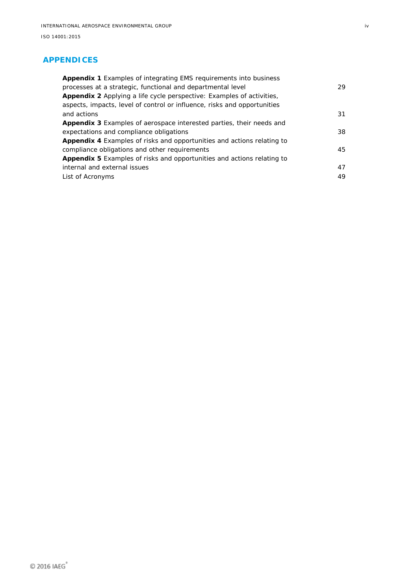#### **APPENDICES**

| <b>Appendix 1</b> Examples of integrating EMS requirements into business      |    |
|-------------------------------------------------------------------------------|----|
| processes at a strategic, functional and departmental level                   | 29 |
| Appendix 2 Applying a life cycle perspective: Examples of activities,         |    |
| aspects, impacts, level of control or influence, risks and opportunities      |    |
| and actions                                                                   | 31 |
| Appendix 3 Examples of aerospace interested parties, their needs and          |    |
| expectations and compliance obligations                                       | 38 |
| <b>Appendix 4</b> Examples of risks and opportunities and actions relating to |    |
| compliance obligations and other requirements                                 | 45 |
| <b>Appendix 5</b> Examples of risks and opportunities and actions relating to |    |
| internal and external issues                                                  | 47 |
| List of Acronyms                                                              | 49 |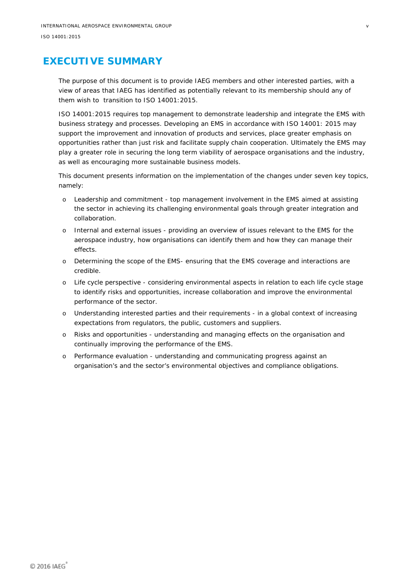## <span id="page-4-0"></span>**EXECUTIVE SUMMARY**

The purpose of this document is to provide IAEG members and other interested parties, with a view of areas that IAEG has identified as potentially relevant to its membership should any of them wish to transition to ISO 14001:2015.

ISO 14001:2015 requires top management to demonstrate leadership and integrate the EMS with business strategy and processes. Developing an EMS in accordance with ISO 14001: 2015 may support the improvement and innovation of products and services, place greater emphasis on opportunities rather than just risk and facilitate supply chain cooperation. Ultimately the EMS may play a greater role in securing the long term viability of aerospace organisations and the industry, as well as encouraging more sustainable business models.

This document presents information on the implementation of the changes under seven key topics, namely:

- o Leadership and commitment top management involvement in the EMS aimed at assisting the sector in achieving its challenging environmental goals through greater integration and collaboration.
- o Internal and external issues providing an overview of issues relevant to the EMS for the aerospace industry, how organisations can identify them and how they can manage their effects.
- o Determining the scope of the EMS- ensuring that the EMS coverage and interactions are credible.
- o Life cycle perspective considering environmental aspects in relation to each life cycle stage to identify risks and opportunities, increase collaboration and improve the environmental performance of the sector.
- o Understanding interested parties and their requirements in a global context of increasing expectations from regulators, the public, customers and suppliers.
- o Risks and opportunities understanding and managing effects on the organisation and continually improving the performance of the EMS.
- o Performance evaluation understanding and communicating progress against an organisation's and the sector's environmental objectives and compliance obligations.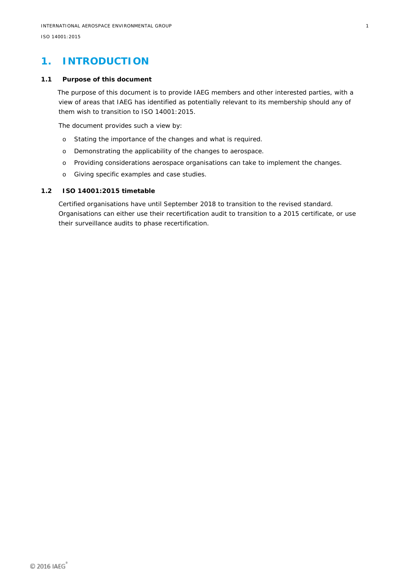## <span id="page-5-0"></span>**1. INTRODUCTION**

#### **1.1 Purpose of this document**

<span id="page-5-1"></span>The purpose of this document is to provide IAEG members and other interested parties, with a view of areas that IAEG has identified as potentially relevant to its membership should any of them wish to transition to ISO 14001:2015.

The document provides such a view by:

- o Stating the importance of the changes and what is required.
- o Demonstrating the applicability of the changes to aerospace.
- o Providing considerations aerospace organisations can take to implement the changes.
- <span id="page-5-2"></span>o Giving specific examples and case studies.

#### **1.2 ISO 14001:2015 timetable**

Certified organisations have until September 2018 to transition to the revised standard. Organisations can either use their recertification audit to transition to a 2015 certificate, or use their surveillance audits to phase recertification.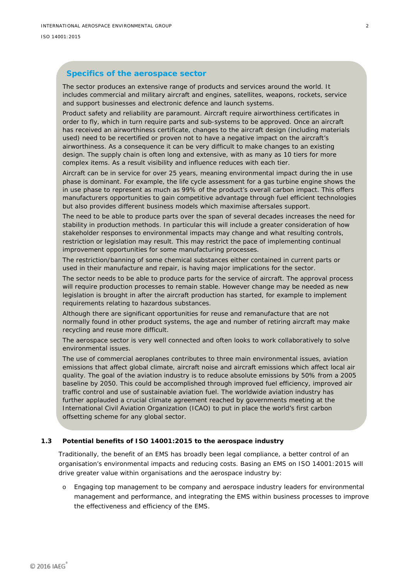#### **Specifics of the aerospace sector**

The sector produces an extensive range of products and services around the world. It includes commercial and military aircraft and engines, satellites, weapons, rockets, service and support businesses and electronic defence and launch systems.

Product safety and reliability are paramount. Aircraft require airworthiness certificates in order to fly, which in turn require parts and sub-systems to be approved. Once an aircraft has received an airworthiness certificate, changes to the aircraft design (including materials used) need to be recertified or proven not to have a negative impact on the aircraft's airworthiness. As a consequence it can be very difficult to make changes to an existing design. The supply chain is often long and extensive, with as many as 10 tiers for more complex items. As a result visibility and influence reduces with each tier.

Aircraft can be in service for over 25 years, meaning environmental impact during the in use phase is dominant. For example, the life cycle assessment for a gas turbine engine shows the in use phase to represent as much as 99% of the product's overall carbon impact. This offers manufacturers opportunities to gain competitive advantage through fuel efficient technologies but also provides different business models which maximise aftersales support.

The need to be able to produce parts over the span of several decades increases the need for stability in production methods. In particular this will include a greater consideration of how stakeholder responses to environmental impacts may change and what resulting controls, restriction or legislation may result. This may restrict the pace of implementing continual improvement opportunities for some manufacturing processes.

The restriction/banning of some chemical substances either contained in current parts or used in their manufacture and repair, is having major implications for the sector.

The sector needs to be able to produce parts for the service of aircraft. The approval process will require production processes to remain stable. However change may be needed as new legislation is brought in after the aircraft production has started, for example to implement requirements relating to hazardous substances.

Although there are significant opportunities for reuse and remanufacture that are not normally found in other product systems, the age and number of retiring aircraft may make recycling and reuse more difficult.

The aerospace sector is very well connected and often looks to work collaboratively to solve environmental issues.

The use of commercial aeroplanes contributes to three main environmental issues, aviation emissions that affect global climate, aircraft noise and aircraft emissions which affect local air quality. The goal of the aviation industry is to reduce absolute emissions by 50% from a 2005 baseline by 2050. This could be accomplished through improved fuel efficiency, improved air traffic control and use of sustainable aviation fuel. The worldwide aviation industry has further applauded a crucial climate agreement reached by governments meeting at the International Civil Aviation Organization (ICAO) to put in place the world's first carbon offsetting scheme for any global sector.

#### **1.3 Potential benefits of ISO 14001:2015 to the aerospace industry**

<span id="page-6-0"></span>Traditionally, the benefit of an EMS has broadly been legal compliance, a better control of an organisation's environmental impacts and reducing costs. Basing an EMS on ISO 14001:2015 will drive greater value within organisations and the aerospace industry by:

o Engaging top management to be company and aerospace industry leaders for environmental management and performance, and integrating the EMS within business processes to improve the effectiveness and efficiency of the EMS.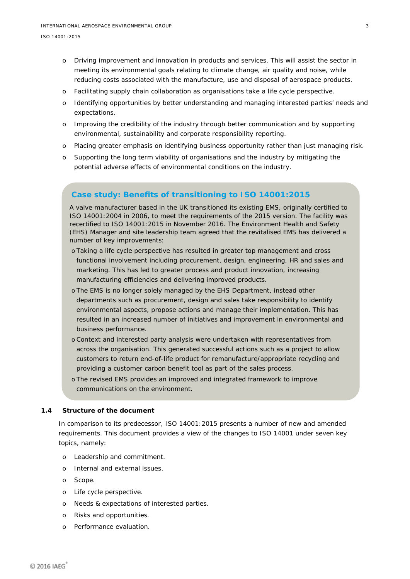- o Driving improvement and innovation in products and services. This will assist the sector in meeting its environmental goals relating to climate change, air quality and noise, while reducing costs associated with the manufacture, use and disposal of aerospace products.
- o Facilitating supply chain collaboration as organisations take a life cycle perspective.
- o Identifying opportunities by better understanding and managing interested parties' needs and expectations.
- o Improving the credibility of the industry through better communication and by supporting environmental, sustainability and corporate responsibility reporting.
- o Placing greater emphasis on identifying business opportunity rather than just managing risk.
- o Supporting the long term viability of organisations and the industry by mitigating the potential adverse effects of environmental conditions on the industry.

#### **Case study: Benefits of transitioning to ISO 14001:2015**

A valve manufacturer based in the UK transitioned its existing EMS, originally certified to ISO 14001:2004 in 2006, to meet the requirements of the 2015 version. The facility was recertified to ISO 14001:2015 in November 2016. The Environment Health and Safety (EHS) Manager and site leadership team agreed that the revitalised EMS has delivered a number of key improvements:

- o Taking a life cycle perspective has resulted in greater top management and cross functional involvement including procurement, design, engineering, HR and sales and marketing. This has led to greater process and product innovation, increasing manufacturing efficiencies and delivering improved products.
- o The EMS is no longer solely managed by the EHS Department, instead other departments such as procurement, design and sales take responsibility to identify environmental aspects, propose actions and manage their implementation. This has resulted in an increased number of initiatives and improvement in environmental and business performance.
- o Context and interested party analysis were undertaken with representatives from across the organisation. This generated successful actions such as a project to allow customers to return end-of-life product for remanufacture/appropriate recycling and providing a customer carbon benefit tool as part of the sales process.
- o The revised EMS provides an improved and integrated framework to improve communications on the environment.

#### **1.4 Structure of the document**

<span id="page-7-0"></span>In comparison to its predecessor, ISO 14001:2015 presents a number of new and amended requirements. This document provides a view of the changes to ISO 14001 under seven key topics, namely:

- o Leadership and commitment.
- o Internal and external issues.
- o Scope.
- o Life cycle perspective.
- o Needs & expectations of interested parties.
- o Risks and opportunities.
- o Performance evaluation.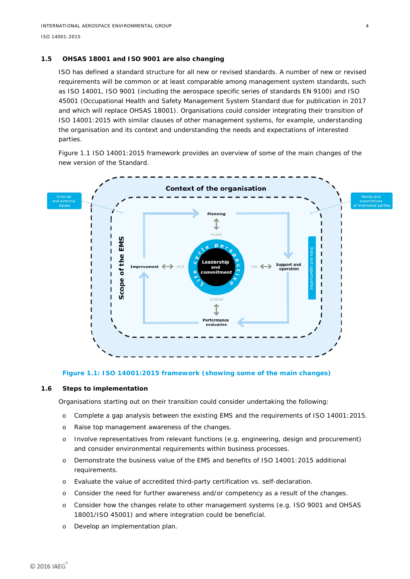#### **1.5 OHSAS 18001 and ISO 9001 are also changing**

<span id="page-8-0"></span>ISO has defined a standard structure for all new or revised standards. A number of new or revised requirements will be common or at least comparable among management system standards, such as ISO 14001, ISO 9001 (including the aerospace specific series of standards EN 9100) and ISO 45001 (Occupational Health and Safety Management System Standard due for publication in 2017 and which will replace OHSAS 18001). Organisations could consider integrating their transition of ISO 14001:2015 with similar clauses of other management systems, for example, understanding the organisation and its context and understanding the needs and expectations of interested parties.

Figure 1.1 *ISO 14001:2015 framework* provides an overview of some of the main changes of the new version of the Standard.



<span id="page-8-2"></span><span id="page-8-1"></span>**Figure 1.1: ISO 14001:2015 framework (showing some of the main changes)**

#### **1.6 Steps to implementation**

Organisations starting out on their transition could consider undertaking the following:

- o Complete a gap analysis between the existing EMS and the requirements of ISO 14001:2015.
- o Raise top management awareness of the changes.
- o Involve representatives from relevant functions (e.g. engineering, design and procurement) and consider environmental requirements within business processes.
- o Demonstrate the business value of the EMS and benefits of ISO 14001:2015 additional requirements.
- o Evaluate the value of accredited third-party certification vs. self-declaration.
- o Consider the need for further awareness and/or competency as a result of the changes.
- o Consider how the changes relate to other management systems (e.g. ISO 9001 and OHSAS 18001/ISO 45001) and where integration could be beneficial.
- o Develop an implementation plan.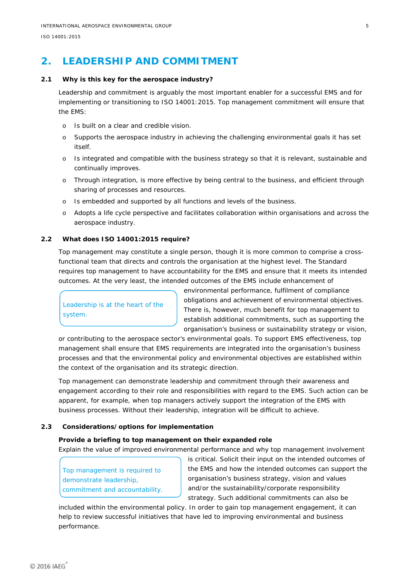# <span id="page-9-0"></span>**2. LEADERSHIP AND COMMITMENT**

#### **2.1 Why is this key for the aerospace industry?**

<span id="page-9-1"></span>Leadership and commitment is arguably the most important enabler for a successful EMS and for implementing or transitioning to ISO 14001:2015. Top management commitment will ensure that the EMS:

- o Is built on a clear and credible vision.
- o Supports the aerospace industry in achieving the challenging environmental goals it has set itself.
- o Is integrated and compatible with the business strategy so that it is relevant, sustainable and continually improves.
- o Through integration, is more effective by being central to the business, and efficient through sharing of processes and resources.
- o Is embedded and supported by all functions and levels of the business.
- <span id="page-9-2"></span>o Adopts a life cycle perspective and facilitates collaboration within organisations and across the aerospace industry.

#### **2.2 What does ISO 14001:2015 require?**

Top management may constitute a single person, though it is more common to comprise a crossfunctional team that directs and controls the organisation at the highest level. The Standard requires top management to have accountability for the EMS and ensure that it meets its intended outcomes. At the very least, the intended outcomes of the EMS include enhancement of

Leadership is at the heart of the system.

environmental performance, fulfilment of compliance obligations and achievement of environmental objectives. There is, however, much benefit for top management to establish additional commitments, such as supporting the organisation's business or sustainability strategy or vision,

or contributing to the aerospace sector's environmental goals. To support EMS effectiveness, top management shall ensure that EMS requirements are integrated into the organisation's business processes and that the environmental policy and environmental objectives are established within the context of the organisation and its strategic direction.

Top management can demonstrate leadership and commitment through their awareness and engagement according to their role and responsibilities with regard to the EMS. Such action can be apparent, for example, when top managers actively support the integration of the EMS with business processes. Without their leadership, integration will be difficult to achieve.

#### **2.3 Considerations/options for implementation**

#### <span id="page-9-3"></span>**Provide a briefing to top management on their expanded role**

Explain the value of improved environmental performance and why top management involvement

Top management is required to demonstrate leadership, commitment and accountability. is critical. Solicit their input on the intended outcomes of the EMS and how the intended outcomes can support the organisation's business strategy, vision and values and/or the sustainability/corporate responsibility strategy. Such additional commitments can also be

included within the environmental policy. In order to gain top management engagement, it can help to review successful initiatives that have led to improving environmental and business performance.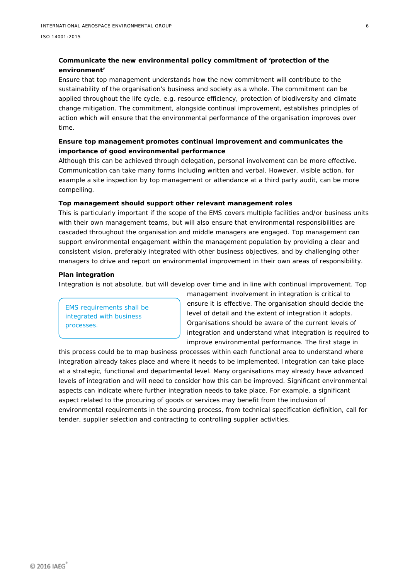#### **Communicate the new environmental policy commitment of 'protection of the environment'**

Ensure that top management understands how the new commitment will contribute to the sustainability of the organisation's business and society as a whole. The commitment can be applied throughout the life cycle, e.g. resource efficiency, protection of biodiversity and climate change mitigation. The commitment, alongside continual improvement, establishes principles of action which will ensure that the environmental performance of the organisation improves over time.

#### **Ensure top management promotes continual improvement and communicates the importance of good environmental performance**

Although this can be achieved through delegation, personal involvement can be more effective. Communication can take many forms including written and verbal. However, visible action, for example a site inspection by top management or attendance at a third party audit, can be more compelling.

#### **Top management should support other relevant management roles**

This is particularly important if the scope of the EMS covers multiple facilities and/or business units with their own management teams, but will also ensure that environmental responsibilities are cascaded throughout the organisation and middle managers are engaged. Top management can support environmental engagement within the management population by providing a clear and consistent vision, preferably integrated with other business objectives, and by challenging other managers to drive and report on environmental improvement in their own areas of responsibility.

#### **Plan integration**

Integration is not absolute, but will develop over time and in line with continual improvement. Top

EMS requirements shall be integrated with business processes.

management involvement in integration is critical to ensure it is effective. The organisation should decide the level of detail and the extent of integration it adopts. Organisations should be aware of the current levels of integration and understand what integration is required to improve environmental performance. The first stage in

this process could be to map business processes within each functional area to understand where integration already takes place and where it needs to be implemented. Integration can take place at a strategic, functional and departmental level. Many organisations may already have advanced levels of integration and will need to consider how this can be improved. Significant environmental aspects can indicate where further integration needs to take place. For example, a significant aspect related to the procuring of goods or services may benefit from the inclusion of environmental requirements in the sourcing process, from technical specification definition, call for tender, supplier selection and contracting to controlling supplier activities.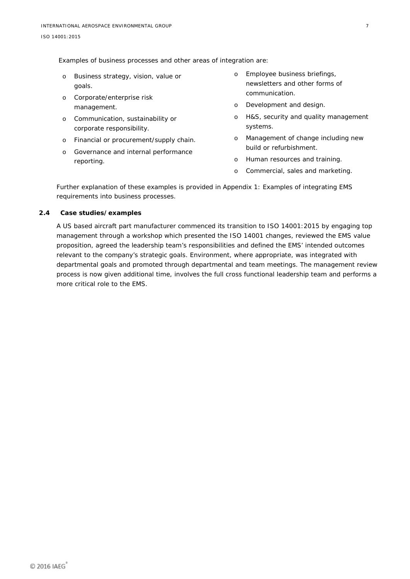Examples of business processes and other areas of integration are:

- o Business strategy, vision, value or goals.
- o Corporate/enterprise risk management.
- o Communication, sustainability or corporate responsibility.
- o Financial or procurement/supply chain.
- o Governance and internal performance reporting.
- o Employee business briefings, newsletters and other forms of communication.
- o Development and design.
- o H&S, security and quality management systems.
- o Management of change including new build or refurbishment.
- o Human resources and training.
- o Commercial, sales and marketing.

Further explanation of these examples is provided in Appendix 1: *Examples of integrating EMS requirements into business processes.*

#### **2.4 Case studies/examples**

<span id="page-11-0"></span>A US based aircraft part manufacturer commenced its transition to ISO 14001:2015 by engaging top management through a workshop which presented the ISO 14001 changes, reviewed the EMS value proposition, agreed the leadership team's responsibilities and defined the EMS' intended outcomes relevant to the company's strategic goals. Environment, where appropriate, was integrated with departmental goals and promoted through departmental and team meetings. The management review process is now given additional time, involves the full cross functional leadership team and performs a more critical role to the EMS.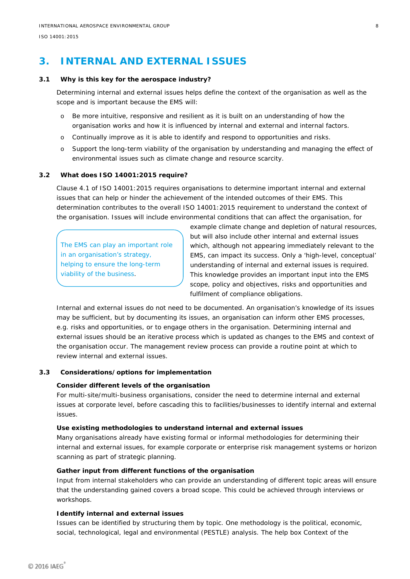## <span id="page-12-0"></span>**3. INTERNAL AND EXTERNAL ISSUES**

#### **3.1 Why is this key for the aerospace industry?**

<span id="page-12-1"></span>Determining internal and external issues helps define the context of the organisation as well as the scope and is important because the EMS will:

- o Be more intuitive, responsive and resilient as it is built on an understanding of how the organisation works and how it is influenced by internal and external and internal factors.
- o Continually improve as it is able to identify and respond to opportunities and risks.
- o Support the long-term viability of the organisation by understanding and managing the effect of environmental issues such as climate change and resource scarcity.

#### **3.2 What does ISO 14001:2015 require?**

<span id="page-12-2"></span>Clause 4.1 of ISO 14001:2015 requires organisations to determine important internal and external issues that can help or hinder the achievement of the intended outcomes of their EMS. This determination contributes to the overall ISO 14001:2015 requirement to understand the context of the organisation. Issues will include environmental conditions that can affect the organisation, for

The EMS can play an important role in an organisation's strategy, helping to ensure the long-term viability of the business.

example climate change and depletion of natural resources, but will also include other internal and external issues which, although not appearing immediately relevant to the EMS, can impact its success. Only a 'high-level, conceptual' understanding of internal and external issues is required. This knowledge provides an important input into the EMS scope, policy and objectives, risks and opportunities and fulfilment of compliance obligations.

Internal and external issues do not need to be documented. An organisation's knowledge of its issues may be sufficient, but by documenting its issues, an organisation can inform other EMS processes, e.g. risks and opportunities, or to engage others in the organisation. Determining internal and external issues should be an iterative process which is updated as changes to the EMS and context of the organisation occur. The management review process can provide a routine point at which to review internal and external issues.

#### **3.3 Considerations/options for implementation**

#### <span id="page-12-3"></span>**Consider different levels of the organisation**

For multi-site/multi-business organisations, consider the need to determine internal and external issues at corporate level, before cascading this to facilities/businesses to identify internal and external issues.

#### **Use existing methodologies to understand internal and external issues**

Many organisations already have existing formal or informal methodologies for determining their internal and external issues, for example corporate or enterprise risk management systems or horizon scanning as part of strategic planning.

#### **Gather input from different functions of the organisation**

Input from internal stakeholders who can provide an understanding of different topic areas will ensure that the understanding gained covers a broad scope. This could be achieved through interviews or workshops.

#### **Identify internal and external issues**

Issues can be identified by structuring them by topic. One methodology is the political, economic, social, technological, legal and environmental (PESTLE) analysis. The help box *Context of the*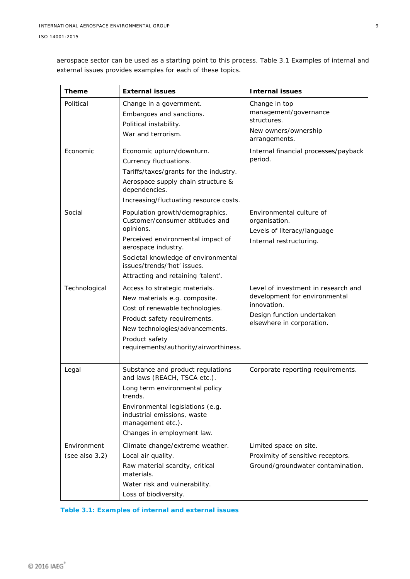*aerospace sector* can be used as a starting point to this process. Table 3.1 *Examples of internal and external issues* provides examples for each of these topics.

| <b>Theme</b>                     | <b>External issues</b>                                                                                                                                                                                                                                  | <b>Internal issues</b>                                                                                                                         |
|----------------------------------|---------------------------------------------------------------------------------------------------------------------------------------------------------------------------------------------------------------------------------------------------------|------------------------------------------------------------------------------------------------------------------------------------------------|
| Political                        | Change in a government.<br>Embargoes and sanctions.<br>Political instability.<br>War and terrorism.                                                                                                                                                     | Change in top<br>management/governance<br>structures.<br>New owners/ownership<br>arrangements.                                                 |
| Economic                         | Economic upturn/downturn.<br>Currency fluctuations.<br>Tariffs/taxes/grants for the industry.<br>Aerospace supply chain structure &<br>dependencies.<br>Increasing/fluctuating resource costs.                                                          | Internal financial processes/payback<br>period.                                                                                                |
| Social                           | Population growth/demographics.<br>Customer/consumer attitudes and<br>opinions.<br>Perceived environmental impact of<br>aerospace industry.<br>Societal knowledge of environmental<br>issues/trends/'hot' issues.<br>Attracting and retaining 'talent'. | Environmental culture of<br>organisation.<br>Levels of literacy/language<br>Internal restructuring.                                            |
| Technological                    | Access to strategic materials.<br>New materials e.g. composite.<br>Cost of renewable technologies.<br>Product safety requirements.<br>New technologies/advancements.<br>Product safety<br>requirements/authority/airworthiness.                         | Level of investment in research and<br>development for environmental<br>innovation.<br>Design function undertaken<br>elsewhere in corporation. |
| Legal                            | Substance and product regulations<br>and laws (REACH, TSCA etc.).<br>Long term environmental policy<br>trends.<br>Environmental legislations (e.g.<br>industrial emissions, waste<br>management etc.).<br>Changes in employment law.                    | Corporate reporting requirements.                                                                                                              |
| Environment<br>(see also $3.2$ ) | Climate change/extreme weather.<br>Local air quality.<br>Raw material scarcity, critical<br>materials.<br>Water risk and vulnerability.<br>Loss of biodiversity.                                                                                        | Limited space on site.<br>Proximity of sensitive receptors.<br>Ground/groundwater contamination.                                               |

<span id="page-13-0"></span>

| Table 3.1: Examples of internal and external issues |  |  |
|-----------------------------------------------------|--|--|
|                                                     |  |  |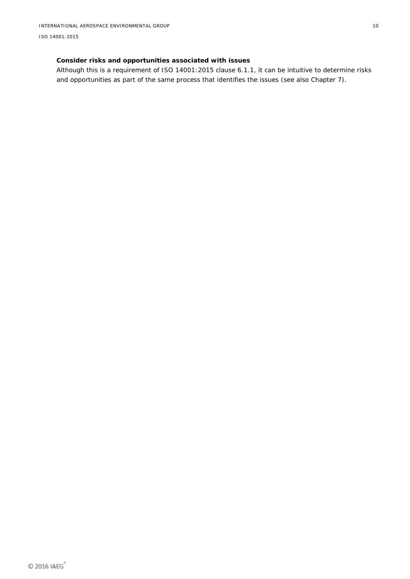## **Consider risks and opportunities associated with issues**

Although this is a requirement of ISO 14001:2015 clause 6.1.1, it can be intuitive to determine risks and opportunities as part of the same process that identifies the issues (see also Chapter 7).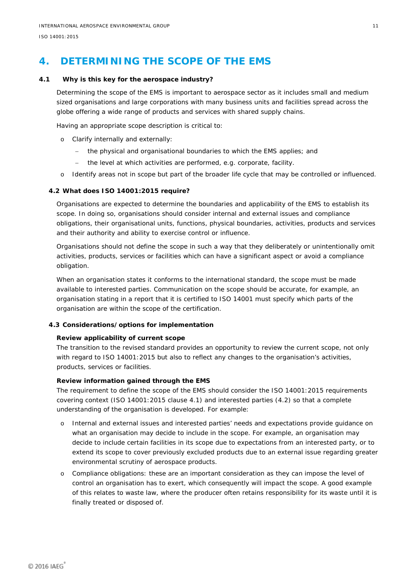# <span id="page-15-0"></span>**4. DETERMINING THE SCOPE OF THE EMS**

#### **4.1 Why is this key for the aerospace industry?**

<span id="page-15-1"></span>Determining the scope of the EMS is important to aerospace sector as it includes small and medium sized organisations and large corporations with many business units and facilities spread across the globe offering a wide range of products and services with shared supply chains.

Having an appropriate scope description is critical to:

- o Clarify internally and externally:
	- the physical and organisational boundaries to which the EMS applies; and
	- the level at which activities are performed, e.g. corporate, facility.
- <span id="page-15-2"></span>o Identify areas not in scope but part of the broader life cycle that may be controlled or influenced.

#### **4.2 What does ISO 14001:2015 require?**

Organisations are expected to determine the boundaries and applicability of the EMS to establish its scope. In doing so, organisations should consider internal and external issues and compliance obligations, their organisational units, functions, physical boundaries, activities, products and services and their authority and ability to exercise control or influence.

Organisations should not define the scope in such a way that they deliberately or unintentionally omit activities, products, services or facilities which can have a significant aspect or avoid a compliance obligation.

When an organisation states it conforms to the international standard, the scope must be made available to interested parties. Communication on the scope should be accurate, for example, an organisation stating in a report that it is certified to ISO 14001 must specify which parts of the organisation are within the scope of the certification.

#### <span id="page-15-3"></span>**4.3 Considerations/options for implementation**

#### **Review applicability of current scope**

The transition to the revised standard provides an opportunity to review the current scope, not only with regard to ISO 14001:2015 but also to reflect any changes to the organisation's activities, products, services or facilities.

#### **Review information gained through the EMS**

The requirement to define the scope of the EMS should consider the ISO 14001:2015 requirements covering context (ISO 14001:2015 clause 4.1) and interested parties (4.2) so that a complete understanding of the organisation is developed. For example:

- o Internal and external issues and interested parties' needs and expectations provide guidance on what an organisation may decide to include in the scope. For example, an organisation may decide to include certain facilities in its scope due to expectations from an interested party, or to extend its scope to cover previously excluded products due to an external issue regarding greater environmental scrutiny of aerospace products.
- o Compliance obligations: these are an important consideration as they can impose the level of control an organisation has to exert, which consequently will impact the scope. A good example of this relates to waste law, where the producer often retains responsibility for its waste until it is finally treated or disposed of.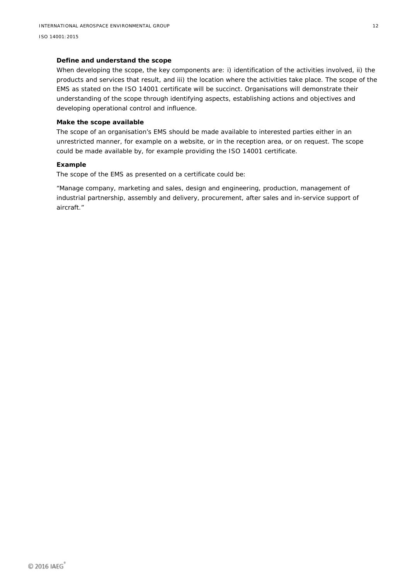#### **Define and understand the scope**

When developing the scope, the key components are: i) identification of the activities involved, ii) the products and services that result, and iii) the location where the activities take place. The scope of the EMS as stated on the ISO 14001 certificate will be succinct. Organisations will demonstrate their understanding of the scope through identifying aspects, establishing actions and objectives and developing operational control and influence.

#### **Make the scope available**

The scope of an organisation's EMS should be made available to interested parties either in an unrestricted manner, for example on a website, or in the reception area, or on request. The scope could be made available by, for example providing the ISO 14001 certificate.

#### **Example**

The scope of the EMS as presented on a certificate could be:

"*Manage company, marketing and sales, design and engineering, production, management of industrial partnership, assembly and delivery, procurement, after sales and in-service support of aircraft."*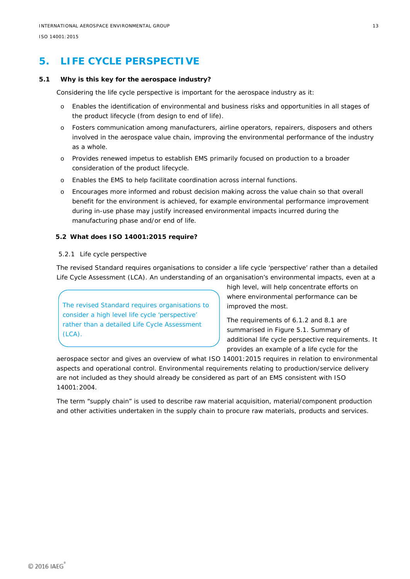# <span id="page-17-0"></span>**5. LIFE CYCLE PERSPECTIVE**

#### **5.1 Why is this key for the aerospace industry?**

<span id="page-17-1"></span>Considering the life cycle perspective is important for the aerospace industry as it:

- o Enables the identification of environmental and business risks and opportunities in all stages of the product lifecycle (from design to end of life).
- o Fosters communication among manufacturers, airline operators, repairers, disposers and others involved in the aerospace value chain, improving the environmental performance of the industry as a whole.
- o Provides renewed impetus to establish EMS primarily focused on production to a broader consideration of the product lifecycle.
- o Enables the EMS to help facilitate coordination across internal functions.
- o Encourages more informed and robust decision making across the value chain so that overall benefit for the environment is achieved, for example environmental performance improvement during in-use phase may justify increased environmental impacts incurred during the manufacturing phase and/or end of life.

#### <span id="page-17-2"></span>**5.2 What does ISO 14001:2015 require?**

#### 5.2.1 Life cycle perspective

The revised Standard requires organisations to consider a life cycle 'perspective' rather than a detailed Life Cycle Assessment (LCA). An understanding of an organisation's environmental impacts, even at a

The revised Standard requires organisations to consider a high level life cycle 'perspective' rather than a detailed Life Cycle Assessment  $(LCA)$ .

high level, will help concentrate efforts on where environmental performance can be improved the most.

The requirements of 6.1.2 and 8.1 are summarised in Figure 5.1. *Summary of additional life cycle perspective requirements*. It provides an example of a life cycle for the

aerospace sector and gives an overview of what ISO 14001:2015 requires in relation to environmental aspects and operational control. Environmental requirements relating to production/service delivery are not included as they should already be considered as part of an EMS consistent with ISO 14001:2004.

The term "supply chain" is used to describe raw material acquisition, material/component production and other activities undertaken in the supply chain to procure raw materials, products and services.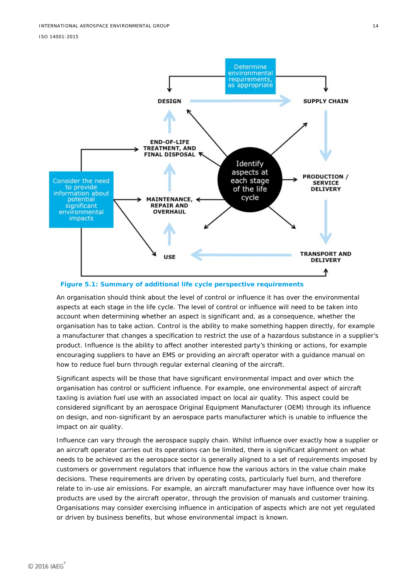

<span id="page-18-0"></span>**Figure 5.1: Summary of additional life cycle perspective requirements**

An organisation should think about the level of control or influence it has over the environmental aspects at each stage in the life cycle. The level of control or influence will need to be taken into account when determining whether an aspect is significant and, as a consequence, whether the organisation has to take action. Control is the ability to make something happen directly, for example a manufacturer that changes a specification to restrict the use of a hazardous substance in a supplier's product. Influence is the ability to affect another interested party's thinking or actions, for example encouraging suppliers to have an EMS or providing an aircraft operator with a guidance manual on how to reduce fuel burn through regular external cleaning of the aircraft.

Significant aspects will be those that have significant environmental impact and over which the organisation has control or sufficient influence. For example, one environmental aspect of aircraft taxiing is aviation fuel use with an associated impact on local air quality. This aspect could be considered significant by an aerospace Original Equipment Manufacturer (OEM) through its influence on design, and non-significant by an aerospace parts manufacturer which is unable to influence the impact on air quality.

Influence can vary through the aerospace supply chain. Whilst influence over exactly how a supplier or an aircraft operator carries out its operations can be limited, there is significant alignment on what needs to be achieved as the aerospace sector is generally aligned to a set of requirements imposed by customers or government regulators that influence how the various actors in the value chain make decisions. These requirements are driven by operating costs, particularly fuel burn, and therefore relate to in-use air emissions. For example, an aircraft manufacturer may have influence over how its products are used by the aircraft operator, through the provision of manuals and customer training. Organisations may consider exercising influence in anticipation of aspects which are not yet regulated or driven by business benefits, but whose environmental impact is known.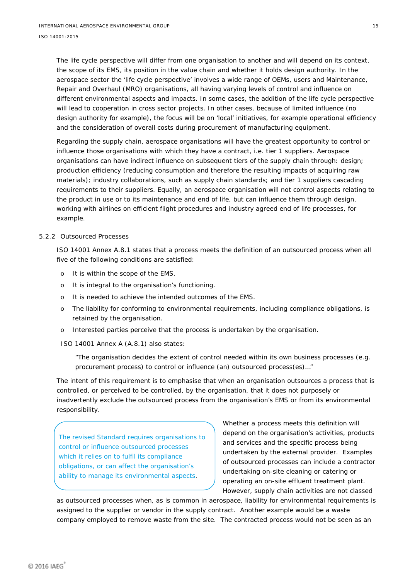The life cycle perspective will differ from one organisation to another and will depend on its context, the scope of its EMS, its position in the value chain and whether it holds design authority. In the aerospace sector the 'life cycle perspective' involves a wide range of OEMs, users and Maintenance, Repair and Overhaul (MRO) organisations, all having varying levels of control and influence on different environmental aspects and impacts. In some cases, the addition of the life cycle perspective will lead to cooperation in cross sector projects. In other cases, because of limited influence (no design authority for example), the focus will be on 'local' initiatives, for example operational efficiency and the consideration of overall costs during procurement of manufacturing equipment.

Regarding the supply chain, aerospace organisations will have the greatest opportunity to control or influence those organisations with which they have a contract, i.e. tier 1 suppliers. Aerospace organisations can have indirect influence on subsequent tiers of the supply chain through: design; production efficiency (reducing consumption and therefore the resulting impacts of acquiring raw materials); industry collaborations, such as supply chain standards; and tier 1 suppliers cascading requirements to their suppliers. Equally, an aerospace organisation will not control aspects relating to the product in use or to its maintenance and end of life, but can influence them through design, working with airlines on efficient flight procedures and industry agreed end of life processes, for example.

#### 5.2.2 Outsourced Processes

ISO 14001 Annex A.8.1 states that a process meets the definition of an outsourced process when all five of the following conditions are satisfied:

- o It is within the scope of the EMS.
- o It is integral to the organisation's functioning.
- o It is needed to achieve the intended outcomes of the EMS.
- o The liability for conforming to environmental requirements, including compliance obligations, is retained by the organisation.
- o Interested parties perceive that the process is undertaken by the organisation.
- ISO 14001 Annex A (A.8.1) also states:

*"The organisation decides the extent of control needed within its own business processes (e.g. procurement process) to control or influence (an) outsourced process(es)…"*

The intent of this requirement is to emphasise that when an organisation outsources a process that is controlled, or perceived to be controlled, by the organisation, that it does not purposely or inadvertently exclude the outsourced process from the organisation's EMS or from its environmental responsibility.

The revised Standard requires organisations to control or influence outsourced processes which it relies on to fulfil its compliance obligations, or can affect the organisation's ability to manage its environmental aspects.

Whether a process meets this definition will depend on the organisation's activities, products and services and the specific process being undertaken by the external provider. Examples of outsourced processes can include a contractor undertaking on-site cleaning or catering or operating an on-site effluent treatment plant. However, supply chain activities are not classed

as outsourced processes when, as is common in aerospace, liability for environmental requirements is assigned to the supplier or vendor in the supply contract. Another example would be a waste company employed to remove waste from the site. The contracted process would not be seen as an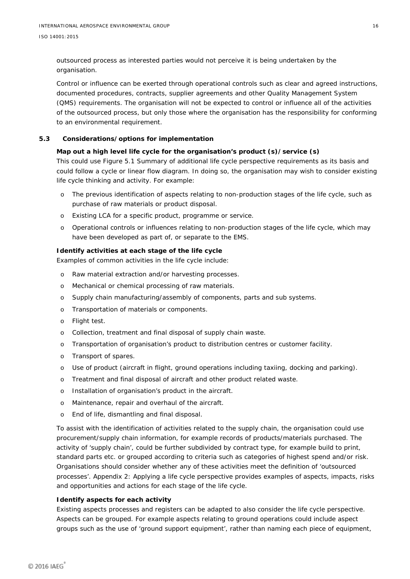outsourced process as interested parties would not perceive it is being undertaken by the organisation.

Control or influence can be exerted through operational controls such as clear and agreed instructions, documented procedures, contracts, supplier agreements and other Quality Management System (QMS) requirements. The organisation will not be expected to control or influence all of the activities of the outsourced process, but only those where the organisation has the responsibility for conforming to an environmental requirement.

#### **5.3 Considerations/options for implementation**

#### <span id="page-20-0"></span>**Map out a high level life cycle for the organisation's product (s)/service (s)**

This could use Figure 5.1 *Summary of additional life cycle perspective requirements* as its basis and could follow a cycle or linear flow diagram. In doing so, the organisation may wish to consider existing life cycle thinking and activity. For example:

- o The previous identification of aspects relating to non-production stages of the life cycle, such as purchase of raw materials or product disposal.
- o Existing LCA for a specific product, programme or service.
- o Operational controls or influences relating to non-production stages of the life cycle, which may have been developed as part of, or separate to the EMS.

#### **Identify activities at each stage of the life cycle**

Examples of common activities in the life cycle include:

- o Raw material extraction and/or harvesting processes.
- o Mechanical or chemical processing of raw materials.
- o Supply chain manufacturing/assembly of components, parts and sub systems.
- o Transportation of materials or components.
- o Flight test.
- o Collection, treatment and final disposal of supply chain waste.
- o Transportation of organisation's product to distribution centres or customer facility.
- o Transport of spares.
- o Use of product (aircraft in flight, ground operations including taxiing, docking and parking).
- o Treatment and final disposal of aircraft and other product related waste.
- o Installation of organisation's product in the aircraft.
- o Maintenance, repair and overhaul of the aircraft.
- o End of life, dismantling and final disposal.

To assist with the identification of activities related to the supply chain, the organisation could use procurement/supply chain information, for example records of products/materials purchased. The activity of 'supply chain', could be further subdivided by contract type, for example build to print, standard parts etc. or grouped according to criteria such as categories of highest spend and/or risk. Organisations should consider whether any of these activities meet the definition of 'outsourced processes'. Appendix 2: *Applying a life cycle perspective* provides examples of aspects, impacts, risks and opportunities and actions for each stage of the life cycle.

#### **Identify aspects for each activity**

Existing aspects processes and registers can be adapted to also consider the life cycle perspective. Aspects can be grouped. For example aspects relating to ground operations could include aspect groups such as the use of 'ground support equipment', rather than naming each piece of equipment,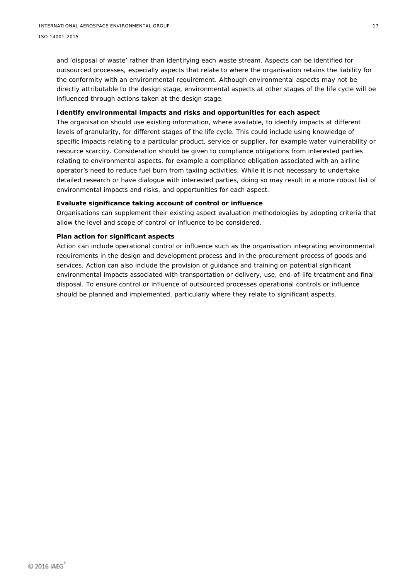and 'disposal of waste' rather than identifying each waste stream. Aspects can be identified for outsourced processes, especially aspects that relate to where the organisation retains the liability for the conformity with an environmental requirement. Although environmental aspects may not be directly attributable to the design stage, environmental aspects at other stages of the life cycle will be influenced through actions taken at the design stage.

#### **Identify environmental impacts and risks and opportunities for each aspect**

The organisation should use existing information, where available, to identify impacts at different levels of granularity, for different stages of the life cycle. This could include using knowledge of specific impacts relating to a particular product, service or supplier, for example water vulnerability or resource scarcity. Consideration should be given to compliance obligations from interested parties relating to environmental aspects, for example a compliance obligation associated with an airline operator's need to reduce fuel burn from taxiing activities. While it is not necessary to undertake detailed research or have dialogue with interested parties, doing so may result in a more robust list of environmental impacts and risks, and opportunities for each aspect.

#### **Evaluate significance taking account of control or influence**

Organisations can supplement their existing aspect evaluation methodologies by adopting criteria that allow the level and scope of control or influence to be considered.

#### **Plan action for significant aspects**

Action can include operational control or influence such as the organisation integrating environmental requirements in the design and development process and in the procurement process of goods and services. Action can also include the provision of guidance and training on potential significant environmental impacts associated with transportation or delivery, use, end-of-life treatment and final disposal. To ensure control or influence of outsourced processes operational controls or influence should be planned and implemented, particularly where they relate to significant aspects.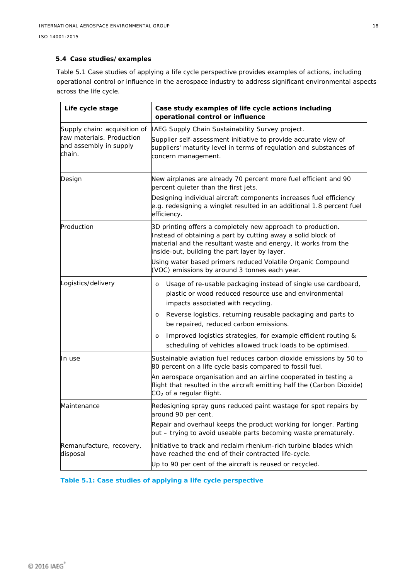#### <span id="page-22-0"></span>**5.4 Case studies/examples**

Table 5.1 *Case studies of applying a life cycle perspective* provides examples of actions, including operational control or influence in the aerospace industry to address significant environmental aspects across the life cycle.

| Life cycle stage                                                                              | Case study examples of life cycle actions including<br>operational control or influence                                                                                                                                                                                                                                                                                                                                                   |  |  |  |  |  |
|-----------------------------------------------------------------------------------------------|-------------------------------------------------------------------------------------------------------------------------------------------------------------------------------------------------------------------------------------------------------------------------------------------------------------------------------------------------------------------------------------------------------------------------------------------|--|--|--|--|--|
| Supply chain: acquisition of<br>raw materials. Production<br>and assembly in supply<br>chain. | IAEG Supply Chain Sustainability Survey project.<br>Supplier self-assessment initiative to provide accurate view of<br>suppliers' maturity level in terms of regulation and substances of<br>concern management.                                                                                                                                                                                                                          |  |  |  |  |  |
| Design                                                                                        | New airplanes are already 70 percent more fuel efficient and 90<br>percent quieter than the first jets.<br>Designing individual aircraft components increases fuel efficiency<br>e.g. redesigning a winglet resulted in an additional 1.8 percent fuel<br>efficiency.                                                                                                                                                                     |  |  |  |  |  |
| Production                                                                                    | 3D printing offers a completely new approach to production.<br>Instead of obtaining a part by cutting away a solid block of<br>material and the resultant waste and energy, it works from the<br>inside-out, building the part layer by layer.<br>Using water based primers reduced Volatile Organic Compound<br>(VOC) emissions by around 3 tonnes each year.                                                                            |  |  |  |  |  |
| Logistics/delivery                                                                            | Usage of re-usable packaging instead of single use cardboard,<br>$\circ$<br>plastic or wood reduced resource use and environmental<br>impacts associated with recycling.<br>Reverse logistics, returning reusable packaging and parts to<br>$\circ$<br>be repaired, reduced carbon emissions.<br>Improved logistics strategies, for example efficient routing &<br>$\circ$<br>scheduling of vehicles allowed truck loads to be optimised. |  |  |  |  |  |
| In use                                                                                        | Sustainable aviation fuel reduces carbon dioxide emissions by 50 to<br>80 percent on a life cycle basis compared to fossil fuel.<br>An aerospace organisation and an airline cooperated in testing a<br>flight that resulted in the aircraft emitting half the (Carbon Dioxide)<br>CO <sub>2</sub> of a regular flight.                                                                                                                   |  |  |  |  |  |
| Maintenance                                                                                   | Redesigning spray guns reduced paint wastage for spot repairs by<br>around 90 per cent.<br>Repair and overhaul keeps the product working for longer. Parting<br>out – trying to avoid useable parts becoming waste prematurely.                                                                                                                                                                                                           |  |  |  |  |  |
| Remanufacture, recovery,<br>disposal                                                          | Initiative to track and reclaim rhenium-rich turbine blades which<br>have reached the end of their contracted life-cycle.<br>Up to 90 per cent of the aircraft is reused or recycled.                                                                                                                                                                                                                                                     |  |  |  |  |  |

**Table 5.1: Case studies of applying a life cycle perspective**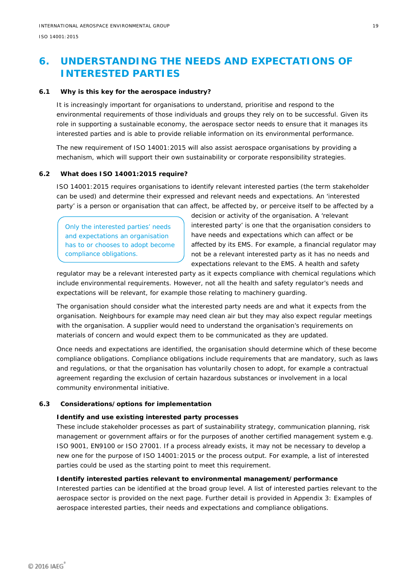# <span id="page-23-0"></span>**6. UNDERSTANDING THE NEEDS AND EXPECTATIONS OF INTERESTED PARTIES**

### **6.1 Why is this key for the aerospace industry?**

<span id="page-23-1"></span>It is increasingly important for organisations to understand, prioritise and respond to the environmental requirements of those individuals and groups they rely on to be successful. Given its role in supporting a sustainable economy, the aerospace sector needs to ensure that it manages its interested parties and is able to provide reliable information on its environmental performance.

The new requirement of ISO 14001:2015 will also assist aerospace organisations by providing a mechanism, which will support their own sustainability or corporate responsibility strategies.

#### **6.2 What does ISO 14001:2015 require?**

<span id="page-23-2"></span>ISO 14001:2015 requires organisations to identify relevant interested parties (the term stakeholder can be used) and determine their expressed and relevant needs and expectations. An 'interested party' is a person or organisation that can affect, be affected by, or perceive itself to be affected by a

Only the interested parties' needs and expectations an organisation has to or chooses to adopt become compliance obligations.

decision or activity of the organisation. A 'relevant interested party' is one that the organisation considers to have needs and expectations which can affect or be affected by its EMS. For example, a financial regulator may not be a relevant interested party as it has no needs and expectations relevant to the EMS. A health and safety

regulator may be a relevant interested party as it expects compliance with chemical regulations which include environmental requirements. However, not all the health and safety regulator's needs and expectations will be relevant, for example those relating to machinery guarding.

The organisation should consider what the interested party needs are and what it expects from the organisation. Neighbours for example may need clean air but they may also expect regular meetings with the organisation. A supplier would need to understand the organisation's requirements on materials of concern and would expect them to be communicated as they are updated.

Once needs and expectations are identified, the organisation should determine which of these become compliance obligations. Compliance obligations include requirements that are mandatory, such as laws and regulations, or that the organisation has voluntarily chosen to adopt, for example a contractual agreement regarding the exclusion of certain hazardous substances or involvement in a local community environmental initiative.

#### **6.3 Considerations/options for implementation**

#### <span id="page-23-3"></span>**Identify and use existing interested party processes**

These include stakeholder processes as part of sustainability strategy, communication planning, risk management or government affairs or for the purposes of another certified management system e.g. ISO 9001, EN9100 or ISO 27001. If a process already exists, it may not be necessary to develop a new one for the purpose of ISO 14001:2015 or the process output. For example, a list of interested parties could be used as the starting point to meet this requirement.

#### **Identify interested parties relevant to environmental management/performance**

Interested parties can be identified at the broad group level. A list of interested parties relevant to the aerospace sector is provided on the next page. Further detail is provided in Appendix 3: *Examples of aerospace interested parties, their needs and expectations and compliance obligations*.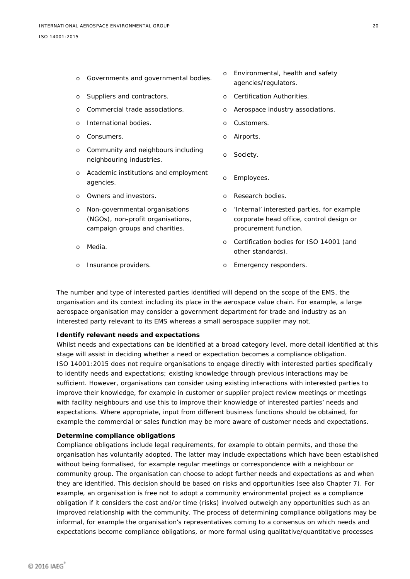| $\circ$ | Governments and governmental bodies.                                                                  | $\circ$  | Environmental, health and safety<br>agencies/regulators.                                                        |
|---------|-------------------------------------------------------------------------------------------------------|----------|-----------------------------------------------------------------------------------------------------------------|
| $\circ$ | Suppliers and contractors.                                                                            | $\Omega$ | Certification Authorities.                                                                                      |
| $\circ$ | Commercial trade associations.                                                                        | $\circ$  | Aerospace industry associations.                                                                                |
| $\circ$ | International bodies.                                                                                 | $\circ$  | Customers.                                                                                                      |
| $\circ$ | Consumers.                                                                                            | $\circ$  | Airports.                                                                                                       |
| $\circ$ | Community and neighbours including<br>neighbouring industries.                                        | $\circ$  | Society.                                                                                                        |
| $\circ$ | Academic institutions and employment<br>agencies.                                                     | $\circ$  | Employees.                                                                                                      |
| O       | Owners and investors.                                                                                 | $\Omega$ | Research bodies.                                                                                                |
| $\circ$ | Non-governmental organisations<br>(NGOs), non-profit organisations,<br>campaign groups and charities. | $\circ$  | 'Internal' interested parties, for example<br>corporate head office, control design or<br>procurement function. |
| $\circ$ | Media.                                                                                                | $\Omega$ | Certification bodies for ISO 14001 (and<br>other standards).                                                    |
| O       | Insurance providers.                                                                                  | $\circ$  | Emergency responders.                                                                                           |

The number and type of interested parties identified will depend on the scope of the EMS, the organisation and its context including its place in the aerospace value chain. For example, a large aerospace organisation may consider a government department for trade and industry as an interested party relevant to its EMS whereas a small aerospace supplier may not.

#### **Identify relevant needs and expectations**

Whilst needs and expectations can be identified at a broad category level, more detail identified at this stage will assist in deciding whether a need or expectation becomes a compliance obligation. ISO 14001:2015 does not require organisations to engage directly with interested parties specifically to identify needs and expectations; existing knowledge through previous interactions may be sufficient. However, organisations can consider using existing interactions with interested parties to improve their knowledge, for example in customer or supplier project review meetings or meetings with facility neighbours and use this to improve their knowledge of interested parties' needs and expectations. Where appropriate, input from different business functions should be obtained, for example the commercial or sales function may be more aware of customer needs and expectations.

#### **Determine compliance obligations**

Compliance obligations include legal requirements, for example to obtain permits, and those the organisation has voluntarily adopted. The latter may include expectations which have been established without being formalised, for example regular meetings or correspondence with a neighbour or community group. The organisation can choose to adopt further needs and expectations as and when they are identified. This decision should be based on risks and opportunities (see also Chapter 7). For example, an organisation is free not to adopt a community environmental project as a compliance obligation if it considers the cost and/or time (risks) involved outweigh any opportunities such as an improved relationship with the community. The process of determining compliance obligations may be informal, for example the organisation's representatives coming to a consensus on which needs and expectations become compliance obligations, or more formal using qualitative/quantitative processes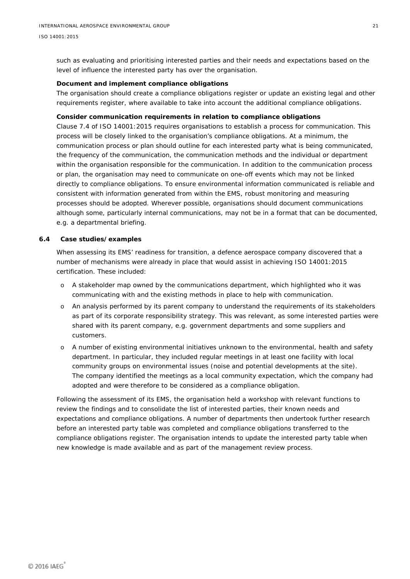such as evaluating and prioritising interested parties and their needs and expectations based on the level of influence the interested party has over the organisation.

#### **Document and implement compliance obligations**

The organisation should create a compliance obligations register or update an existing legal and other requirements register, where available to take into account the additional compliance obligations.

#### **Consider communication requirements in relation to compliance obligations**

Clause 7.4 of ISO 14001:2015 requires organisations to establish a process for communication. This process will be closely linked to the organisation's compliance obligations. At a minimum, the communication process or plan should outline for each interested party what is being communicated, the frequency of the communication, the communication methods and the individual or department within the organisation responsible for the communication. In addition to the communication process or plan, the organisation may need to communicate on one-off events which may not be linked directly to compliance obligations. To ensure environmental information communicated is reliable and consistent with information generated from within the EMS, robust monitoring and measuring processes should be adopted. Wherever possible, organisations should document communications although some, particularly internal communications, may not be in a format that can be documented, e.g. a departmental briefing.

#### **6.4 Case studies/examples**

<span id="page-25-0"></span>When assessing its EMS' readiness for transition, a defence aerospace company discovered that a number of mechanisms were already in place that would assist in achieving ISO 14001:2015 certification. These included:

- o A stakeholder map owned by the communications department, which highlighted who it was communicating with and the existing methods in place to help with communication.
- o An analysis performed by its parent company to understand the requirements of its stakeholders as part of its corporate responsibility strategy. This was relevant, as some interested parties were shared with its parent company, e.g. government departments and some suppliers and customers.
- o A number of existing environmental initiatives unknown to the environmental, health and safety department. In particular, they included regular meetings in at least one facility with local community groups on environmental issues (noise and potential developments at the site). The company identified the meetings as a local community expectation, which the company had adopted and were therefore to be considered as a compliance obligation.

Following the assessment of its EMS, the organisation held a workshop with relevant functions to review the findings and to consolidate the list of interested parties, their known needs and expectations and compliance obligations. A number of departments then undertook further research before an interested party table was completed and compliance obligations transferred to the compliance obligations register. The organisation intends to update the interested party table when new knowledge is made available and as part of the management review process.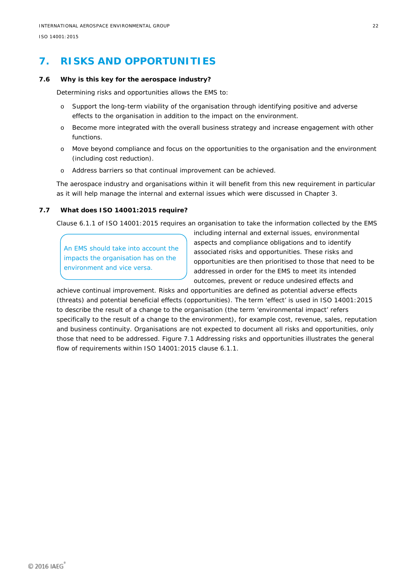# <span id="page-26-0"></span>**7. RISKS AND OPPORTUNITIES**

#### **7.6 Why is this key for the aerospace industry?**

<span id="page-26-1"></span>Determining risks and opportunities allows the EMS to:

- o Support the long-term viability of the organisation through identifying positive and adverse effects to the organisation in addition to the impact on the environment.
- o Become more integrated with the overall business strategy and increase engagement with other functions.
- o Move beyond compliance and focus on the opportunities to the organisation and the environment (including cost reduction).
- o Address barriers so that continual improvement can be achieved.

The aerospace industry and organisations within it will benefit from this new requirement in particular as it will help manage the internal and external issues which were discussed in Chapter 3.

#### **7.7 What does ISO 14001:2015 require?**

<span id="page-26-2"></span>Clause 6.1.1 of ISO 14001:2015 requires an organisation to take the information collected by the EMS

An EMS should take into account the impacts the organisation has on the environment and vice versa.

including internal and external issues, environmental aspects and compliance obligations and to identify associated risks and opportunities. These risks and opportunities are then prioritised to those that need to be addressed in order for the EMS to meet its intended outcomes, prevent or reduce undesired effects and

achieve continual improvement. Risks and opportunities are defined as potential adverse effects (threats) and potential beneficial effects (opportunities). The term 'effect' is used in ISO 14001:2015 to describe the result of a change to the organisation (the term 'environmental impact' refers specifically to the result of a change to the environment), for example cost, revenue, sales, reputation and business continuity. Organisations are not expected to document all risks and opportunities, only those that need to be addressed. Figure 7.1 *Addressing risks and opportunities* illustrates the general flow of requirements within ISO 14001:2015 clause 6.1.1.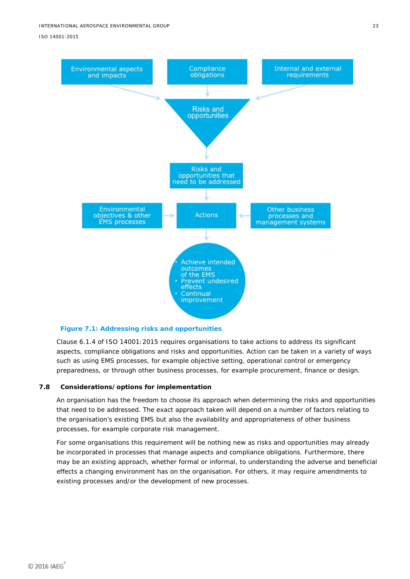

#### <span id="page-27-1"></span>**Figure 7.1: Addressing risks and opportunities**

Clause 6.1.4 of ISO 14001:2015 requires organisations to take actions to address its significant aspects, compliance obligations and risks and opportunities. Action can be taken in a variety of ways such as using EMS processes, for example objective setting, operational control or emergency preparedness, or through other business processes, for example procurement, finance or design.

#### **7.8 Considerations/options for implementation**

<span id="page-27-0"></span>An organisation has the freedom to choose its approach when determining the risks and opportunities that need to be addressed. The exact approach taken will depend on a number of factors relating to the organisation's existing EMS but also the availability and appropriateness of other business processes, for example corporate risk management.

For some organisations this requirement will be nothing new as risks and opportunities may already be incorporated in processes that manage aspects and compliance obligations. Furthermore, there may be an existing approach, whether formal or informal, to understanding the adverse and beneficial effects a changing environment has on the organisation. For others, it may require amendments to existing processes and/or the development of new processes.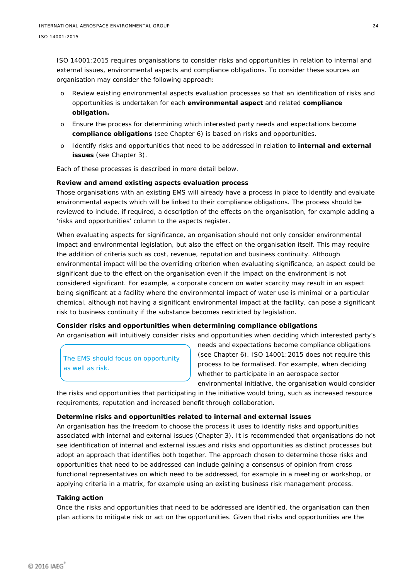ISO 14001:2015 requires organisations to consider risks and opportunities in relation to internal and external issues, environmental aspects and compliance obligations. To consider these sources an organisation may consider the following approach:

- o Review existing environmental aspects evaluation processes so that an identification of risks and opportunities is undertaken for each **environmental aspect** and related **compliance obligation.**
- o Ensure the process for determining which interested party needs and expectations become **compliance obligations** (see Chapter 6) is based on risks and opportunities.
- o Identify risks and opportunities that need to be addressed in relation to **internal and external issues** (see Chapter 3).

Each of these processes is described in more detail below.

#### **Review and amend existing aspects evaluation process**

Those organisations with an existing EMS will already have a process in place to identify and evaluate environmental aspects which will be linked to their compliance obligations. The process should be reviewed to include, if required, a description of the effects on the organisation, for example adding a 'risks and opportunities' column to the aspects register.

When evaluating aspects for significance, an organisation should not only consider environmental impact and environmental legislation, but also the effect on the organisation itself. This may require the addition of criteria such as cost, revenue, reputation and business continuity. Although environmental impact will be the overriding criterion when evaluating significance, an aspect could be significant due to the effect on the organisation even if the impact on the environment is not considered significant. For example, a corporate concern on water scarcity may result in an aspect being significant at a facility where the environmental impact of water use is minimal or a particular chemical, although not having a significant environmental impact at the facility, can pose a significant risk to business continuity if the substance becomes restricted by legislation.

#### **Consider risks and opportunities when determining compliance obligations**

An organisation will intuitively consider risks and opportunities when deciding which interested party's

The EMS should focus on opportunity as well as risk.

needs and expectations become compliance obligations (see Chapter 6). ISO 14001:2015 does not require this process to be formalised. For example, when deciding whether to participate in an aerospace sector environmental initiative, the organisation would consider

the risks and opportunities that participating in the initiative would bring, such as increased resource requirements, reputation and increased benefit through collaboration.

#### **Determine risks and opportunities related to internal and external issues**

An organisation has the freedom to choose the process it uses to identify risks and opportunities associated with internal and external issues (Chapter 3). It is recommended that organisations do not see identification of internal and external issues and risks and opportunities as distinct processes but adopt an approach that identifies both together. The approach chosen to determine those risks and opportunities that need to be addressed can include gaining a consensus of opinion from cross functional representatives on which need to be addressed, for example in a meeting or workshop, or applying criteria in a matrix, for example using an existing business risk management process.

#### **Taking action**

Once the risks and opportunities that need to be addressed are identified, the organisation can then plan actions to mitigate risk or act on the opportunities. Given that risks and opportunities are the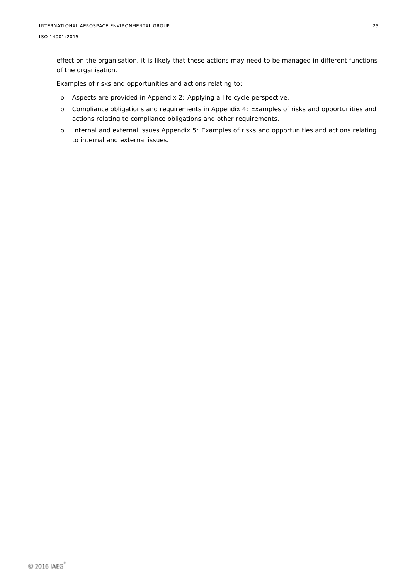effect on the organisation, it is likely that these actions may need to be managed in different functions of the organisation.

Examples of risks and opportunities and actions relating to:

- o Aspects are provided in Appendix 2: *Applying a life cycle perspective.*
- o Compliance obligations and requirements in Appendix 4: Examples of *risks and opportunities and actions relating to compliance obligations and other requirements.*
- o Internal and external issues Appendix 5: Examples of *risks and opportunities and actions relating to internal and external issues.*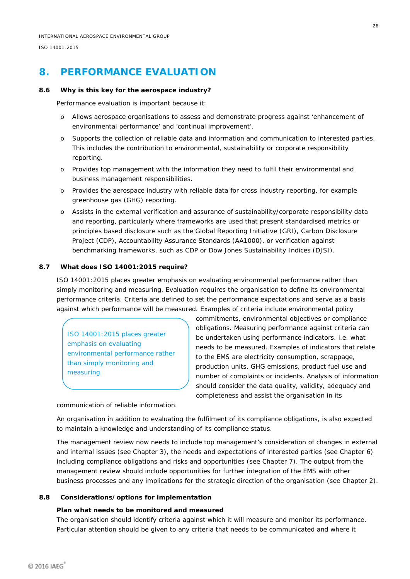## <span id="page-30-0"></span>**8. PERFORMANCE EVALUATION**

#### **8.6 Why is this key for the aerospace industry?**

<span id="page-30-1"></span>Performance evaluation is important because it:

- o Allows aerospace organisations to assess and demonstrate progress against 'enhancement of environmental performance' and 'continual improvement'.
- o Supports the collection of reliable data and information and communication to interested parties. This includes the contribution to environmental, sustainability or corporate responsibility reporting.
- o Provides top management with the information they need to fulfil their environmental and business management responsibilities.
- o Provides the aerospace industry with reliable data for cross industry reporting, for example greenhouse gas (GHG) reporting.
- o Assists in the external verification and assurance of sustainability/corporate responsibility data and reporting, particularly where frameworks are used that present standardised metrics or principles based disclosure such as the Global Reporting Initiative (GRI), Carbon Disclosure Project (CDP), Accountability Assurance Standards (AA1000), or verification against benchmarking frameworks, such as CDP or Dow Jones Sustainability Indices (DJSI).

#### **8.7 What does ISO 14001:2015 require?**

<span id="page-30-2"></span>ISO 14001:2015 places greater emphasis on evaluating environmental performance rather than simply monitoring and measuring. Evaluation requires the organisation to define its environmental performance criteria. Criteria are defined to set the performance expectations and serve as a basis against which performance will be measured. Examples of criteria include environmental policy

ISO 14001:2015 places greater emphasis on evaluating environmental performance rather than simply monitoring and measuring.

commitments, environmental objectives or compliance obligations. Measuring performance against criteria can be undertaken using performance indicators. i.e. what needs to be measured. Examples of indicators that relate to the EMS are electricity consumption, scrappage, production units, GHG emissions, product fuel use and number of complaints or incidents. Analysis of information should consider the data quality, validity, adequacy and completeness and assist the organisation in its

communication of reliable information.

An organisation in addition to evaluating the fulfilment of its compliance obligations, is also expected to maintain a knowledge and understanding of its compliance status.

The management review now needs to include top management's consideration of changes in external and internal issues (see Chapter 3), the needs and expectations of interested parties (see Chapter 6) including compliance obligations and risks and opportunities (see Chapter 7). The output from the management review should include opportunities for further integration of the EMS with other business processes and any implications for the strategic direction of the organisation (see Chapter 2).

#### **8.8 Considerations/options for implementation**

#### <span id="page-30-3"></span>**Plan what needs to be monitored and measured**

The organisation should identify criteria against which it will measure and monitor its performance. Particular attention should be given to any criteria that needs to be communicated and where it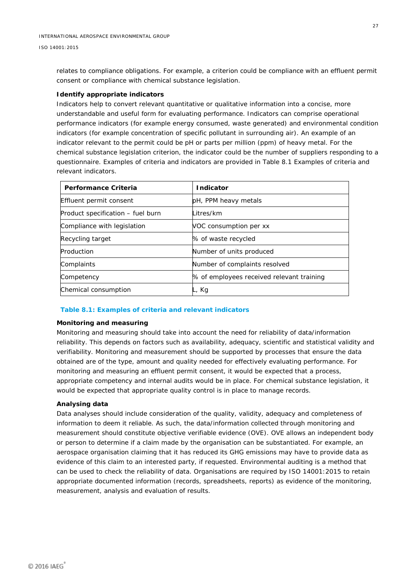relates to compliance obligations. For example, a criterion could be compliance with an effluent permit consent or compliance with chemical substance legislation.

#### **Identify appropriate indicators**

Indicators help to convert relevant quantitative or qualitative information into a concise, more understandable and useful form for evaluating performance. Indicators can comprise operational performance indicators (for example energy consumed, waste generated) and environmental condition indicators (for example concentration of specific pollutant in surrounding air). An example of an indicator relevant to the permit could be pH or parts per million (ppm) of heavy metal. For the chemical substance legislation criterion, the indicator could be the number of suppliers responding to a questionnaire. Examples of criteria and indicators are provided in Table 8.1 *Examples of criteria and relevant indicators.*

| <b>Performance Criteria</b>       | Indicator                                 |
|-----------------------------------|-------------------------------------------|
| Effluent permit consent           | pH, PPM heavy metals                      |
| Product specification – fuel burn | Litres/km                                 |
| Compliance with legislation       | VOC consumption per xx                    |
| Recycling target                  | % of waste recycled                       |
| Production                        | Number of units produced                  |
| Complaints                        | Number of complaints resolved             |
| Competency                        | % of employees received relevant training |
| Chemical consumption              | <sub>-</sub> , Kg                         |

#### <span id="page-31-0"></span>**Table 8.1: Examples of criteria and relevant indicators**

#### **Monitoring and measuring**

Monitoring and measuring should take into account the need for reliability of data/information reliability. This depends on factors such as availability, adequacy, scientific and statistical validity and verifiability. Monitoring and measurement should be supported by processes that ensure the data obtained are of the type, amount and quality needed for effectively evaluating performance. For monitoring and measuring an effluent permit consent, it would be expected that a process, appropriate competency and internal audits would be in place. For chemical substance legislation, it would be expected that appropriate quality control is in place to manage records.

#### **Analysing data**

Data analyses should include consideration of the quality, validity, adequacy and completeness of information to deem it reliable. As such, the data/information collected through monitoring and measurement should constitute objective verifiable evidence (OVE). OVE allows an independent body or person to determine if a claim made by the organisation can be substantiated. For example, an aerospace organisation claiming that it has reduced its GHG emissions may have to provide data as evidence of this claim to an interested party, if requested. Environmental auditing is a method that can be used to check the reliability of data. Organisations are required by ISO 14001:2015 to retain appropriate documented information (records, spreadsheets, reports) as evidence of the monitoring, measurement, analysis and evaluation of results.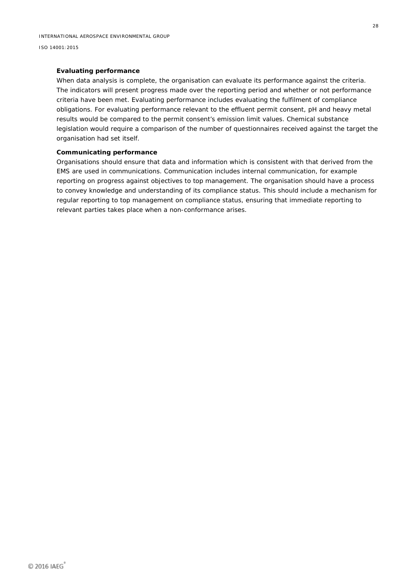#### **Evaluating performance**

When data analysis is complete, the organisation can evaluate its performance against the criteria. The indicators will present progress made over the reporting period and whether or not performance criteria have been met. Evaluating performance includes evaluating the fulfilment of compliance obligations. For evaluating performance relevant to the effluent permit consent, pH and heavy metal results would be compared to the permit consent's emission limit values. Chemical substance legislation would require a comparison of the number of questionnaires received against the target the organisation had set itself.

#### **Communicating performance**

Organisations should ensure that data and information which is consistent with that derived from the EMS are used in communications. Communication includes internal communication, for example reporting on progress against objectives to top management. The organisation should have a process to convey knowledge and understanding of its compliance status. This should include a mechanism for regular reporting to top management on compliance status, ensuring that immediate reporting to relevant parties takes place when a non-conformance arises.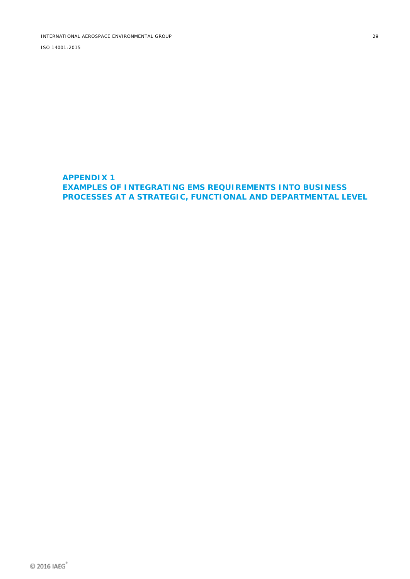<span id="page-33-0"></span>**APPENDIX 1 EXAMPLES OF INTEGRATING EMS REQUIREMENTS INTO BUSINESS PROCESSES AT A STRATEGIC, FUNCTIONAL AND DEPARTMENTAL LEVEL**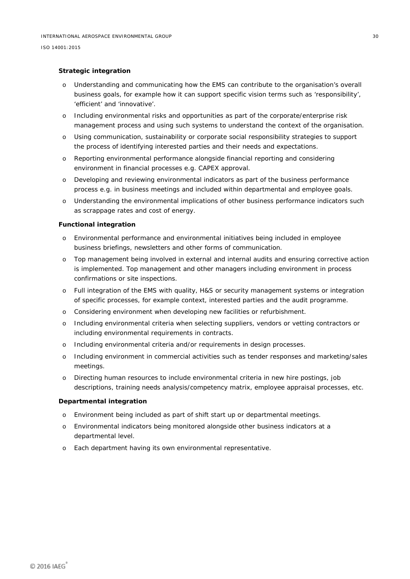#### **Strategic integration**

- o Understanding and communicating how the EMS can contribute to the organisation's overall business goals, for example how it can support specific vision terms such as 'responsibility', 'efficient' and 'innovative'.
- o Including environmental risks and opportunities as part of the corporate/enterprise risk management process and using such systems to understand the context of the organisation.
- o Using communication, sustainability or corporate social responsibility strategies to support the process of identifying interested parties and their needs and expectations.
- o Reporting environmental performance alongside financial reporting and considering environment in financial processes e.g. CAPEX approval.
- o Developing and reviewing environmental indicators as part of the business performance process e.g. in business meetings and included within departmental and employee goals.
- o Understanding the environmental implications of other business performance indicators such as scrappage rates and cost of energy.

#### **Functional integration**

- o Environmental performance and environmental initiatives being included in employee business briefings, newsletters and other forms of communication.
- o Top management being involved in external and internal audits and ensuring corrective action is implemented. Top management and other managers including environment in process confirmations or site inspections.
- o Full integration of the EMS with quality, H&S or security management systems or integration of specific processes, for example context, interested parties and the audit programme.
- o Considering environment when developing new facilities or refurbishment.
- o Including environmental criteria when selecting suppliers, vendors or vetting contractors or including environmental requirements in contracts.
- o Including environmental criteria and/or requirements in design processes.
- o Including environment in commercial activities such as tender responses and marketing/sales meetings.
- o Directing human resources to include environmental criteria in new hire postings, job descriptions, training needs analysis/competency matrix, employee appraisal processes, etc.

#### **Departmental integration**

- o Environment being included as part of shift start up or departmental meetings.
- o Environmental indicators being monitored alongside other business indicators at a departmental level.
- o Each department having its own environmental representative.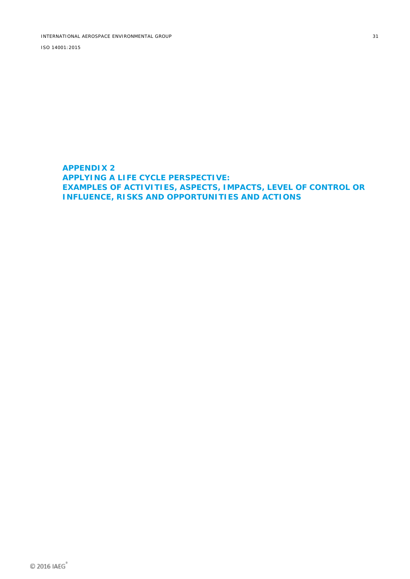<span id="page-35-0"></span>**APPENDIX 2 APPLYING A LIFE CYCLE PERSPECTIVE: EXAMPLES OF ACTIVITIES, ASPECTS, IMPACTS, LEVEL OF CONTROL OR INFLUENCE, RISKS AND OPPORTUNITIES AND ACTIONS**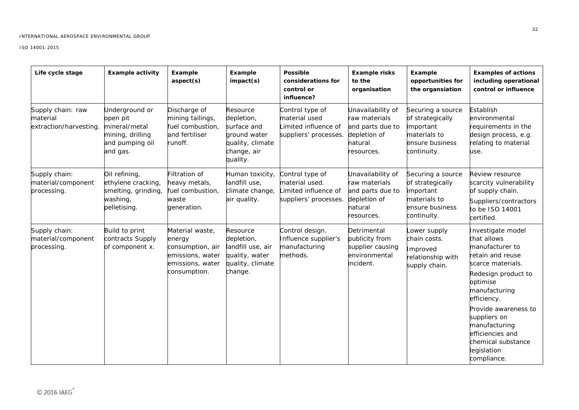| Life cycle stage                                       | <b>Example activity</b>                                                                        | Example<br>aspect(s)                                                                                  | Example<br>impact(s)                                                                                 | <b>Possible</b><br>considerations for<br>control or<br>influence?                  | <b>Example risks</b><br>to the<br>organisation                                                  | Example<br>opportunities for<br>the organsiation                                                     | <b>Examples of actions</b><br>including operational<br>control or influence                                                                                                                                                                                                                      |
|--------------------------------------------------------|------------------------------------------------------------------------------------------------|-------------------------------------------------------------------------------------------------------|------------------------------------------------------------------------------------------------------|------------------------------------------------------------------------------------|-------------------------------------------------------------------------------------------------|------------------------------------------------------------------------------------------------------|--------------------------------------------------------------------------------------------------------------------------------------------------------------------------------------------------------------------------------------------------------------------------------------------------|
| Supply chain: raw<br>material<br>extraction/harvesting | Underground or<br>open pit<br>mineral/metal<br>mining, drilling<br>and pumping oil<br>and gas. | Discharge of<br>mining tailings,<br>fuel combustion,<br>and fertiliser<br>runoff.                     | Resource<br>depletion,<br>surface and<br>ground water<br>quality, climate<br>change, air<br>quality. | Control type of<br>material used<br>imited influence of<br>suppliers' processes.   | Unavailability of<br>raw materials<br>and parts due to<br>depletion of<br>natural<br>resources. | Securing a source<br>of strategically<br>important<br>materials to<br>ensure business<br>continuity. | Establish<br>environmental<br>requirements in the<br>design process, e.g.<br>relating to material<br>use.                                                                                                                                                                                        |
| Supply chain:<br>material/component<br>processing.     | Oil refining,<br>ethylene cracking,<br>smelting, grinding,<br>washing,<br>pelletising.         | Filtration of<br>heavy metals,<br>fuel combustion,<br>waste<br>generation.                            | Human toxicity,<br>landfill use,<br>climate change,<br>air quality.                                  | Control type of<br>material used.<br>Limited influence of<br>suppliers' processes. | Unavailability of<br>raw materials<br>and parts due to<br>depletion of<br>natural<br>resources. | Securing a source<br>of strategically<br>important<br>materials to<br>ensure business<br>continuity. | Review resource<br>scarcity vulnerability<br>of supply chain.<br>Suppliers/contractors<br>to be ISO 14001<br>certified.                                                                                                                                                                          |
| Supply chain:<br>material/component<br>processing.     | Build to print<br>contracts Supply<br>of component x.                                          | Material waste,<br>energy<br>consumption, air<br>emissions, water<br>emissions, water<br>consumption. | Resource<br>depletion,<br>landfill use, air<br>quality, water<br>quality, climate<br>change.         | Control design.<br>Influence supplier's<br>manufacturing<br>methods.               | Detrimental<br>publicity from<br>supplier causing<br>environmental<br>incident.                 | ower supply<br>chain costs.<br>Improved<br>relationship with<br>supply chain.                        | Investigate model<br>that allows<br>manufacturer to<br>retain and reuse<br>scarce materials.<br>Redesign product to<br>optimise<br>manufacturing<br>efficiency.<br>Provide awareness to<br>suppliers on<br>manufacturing<br>efficiencies and<br>chemical substance<br>legislation<br>compliance. |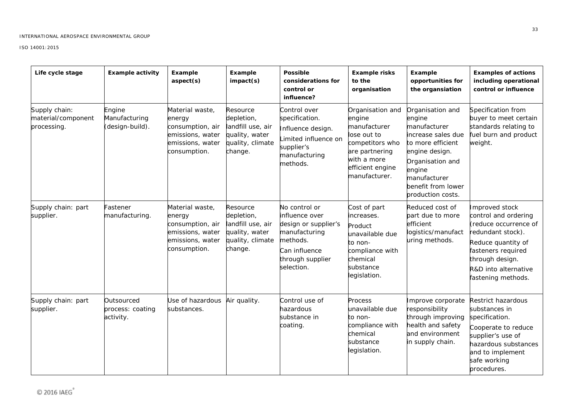| Life cycle stage                                   | <b>Example activity</b>                     | Example<br>aspect(s)                                                                                  | Example<br>impact(s)                                                                         | <b>Possible</b><br>considerations for<br>control or<br>influence?                                                                       | <b>Example risks</b><br>to the<br>organisation                                                                                                     | Example<br>opportunities for<br>the organsiation                                                                                                                                                 | <b>Examples of actions</b><br>including operational<br>control or influence                                                                                                                       |
|----------------------------------------------------|---------------------------------------------|-------------------------------------------------------------------------------------------------------|----------------------------------------------------------------------------------------------|-----------------------------------------------------------------------------------------------------------------------------------------|----------------------------------------------------------------------------------------------------------------------------------------------------|--------------------------------------------------------------------------------------------------------------------------------------------------------------------------------------------------|---------------------------------------------------------------------------------------------------------------------------------------------------------------------------------------------------|
| Supply chain:<br>material/component<br>processing. | Engine<br>Manufacturing<br>(design-build).  | Material waste,<br>energy<br>consumption, air<br>emissions, water<br>emissions, water<br>consumption. | Resource<br>depletion,<br>landfill use, air<br>quality, water<br>quality, climate<br>change. | Control over<br>specification.<br>Influence design.<br>imited influence on<br>supplier's<br>manufacturing<br>methods.                   | Organisation and<br>engine<br>manufacturer<br>lose out to<br>competitors who<br>are partnering<br>with a more<br>efficient engine<br>manufacturer. | Organisation and<br>engine<br>manufacturer<br>increase sales due<br>to more efficient<br>engine design.<br>Organisation and<br>engine<br>manufacturer<br>benefit from lower<br>production costs. | Specification from<br>buyer to meet certain<br>standards relating to<br>fuel burn and product<br>weight.                                                                                          |
| Supply chain: part<br>supplier.                    | Fastener<br>manufacturing.                  | Material waste,<br>energy<br>consumption, air<br>emissions, water<br>emissions, water<br>consumption. | Resource<br>depletion,<br>landfill use, air<br>quality, water<br>quality, climate<br>change. | No control or<br>influence over<br>design or supplier's<br>manufacturing<br>methods.<br>Can influence<br>through supplier<br>selection. | Cost of part<br>increases.<br>Product<br>unavailable due<br>to non-<br>compliance with<br>chemical<br>substance<br>legislation.                    | Reduced cost of<br>part due to more<br>efficient<br>logistics/manufact<br>uring methods.                                                                                                         | Improved stock<br>control and ordering<br>(reduce occurrence of<br>redundant stock).<br>Reduce quantity of<br>fasteners required<br>through design.<br>R&D into alternative<br>fastening methods. |
| Supply chain: part<br>supplier.                    | Outsourced<br>process: coating<br>activity. | Jse of hazardous<br>substances.                                                                       | Air quality.                                                                                 | Control use of<br>hazardous<br>substance in<br>coating.                                                                                 | Process<br>unavailable due<br>to non-<br>compliance with<br>chemical<br>substance<br>legislation.                                                  | Improve corporate<br>responsibility<br>through improving<br>health and safety<br>and environment<br>in supply chain.                                                                             | Restrict hazardous<br>substances in<br>specification.<br>Cooperate to reduce<br>supplier's use of<br>hazardous substances<br>and to implement<br>safe working<br>procedures.                      |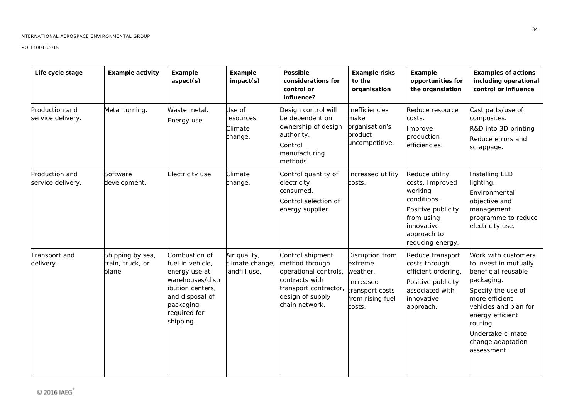| Life cycle stage                           | <b>Example activity</b>                        | Example<br>aspect(s)                                                                                                                                    | Example<br>impact(s)                             | <b>Possible</b><br>considerations for<br>control or<br>influence?                                                                            | <b>Example risks</b><br>to the<br>organisation                                                       | Example<br>opportunities for<br>the organsiation                                                                                                 | <b>Examples of actions</b><br>including operational<br>control or influence                                                                                                                                                                 |
|--------------------------------------------|------------------------------------------------|---------------------------------------------------------------------------------------------------------------------------------------------------------|--------------------------------------------------|----------------------------------------------------------------------------------------------------------------------------------------------|------------------------------------------------------------------------------------------------------|--------------------------------------------------------------------------------------------------------------------------------------------------|---------------------------------------------------------------------------------------------------------------------------------------------------------------------------------------------------------------------------------------------|
| Production and<br>service delivery.        | Metal turning.                                 | Waste metal.<br>Energy use.                                                                                                                             | Jse of<br>esources.<br>Climate<br>change.        | Design control will<br>be dependent on<br>ownership of design<br>authority.<br>Control<br>manufacturing<br>methods.                          | Inefficiencies<br>make<br>organisation's<br>product<br>uncompetitive.                                | Reduce resource<br>costs.<br>Improve<br>production<br>efficiencies.                                                                              | Cast parts/use of<br>composites.<br>R&D into 3D printing<br>Reduce errors and<br>scrappage.                                                                                                                                                 |
| <b>Production and</b><br>service delivery. | Software<br>development.                       | Electricity use.                                                                                                                                        | Climate<br>change.                               | Control quantity of<br>electricity<br>consumed.<br>Control selection of<br>energy supplier.                                                  | Increased utility<br>costs.                                                                          | Reduce utility<br>costs. Improved<br>working<br>conditions.<br>Positive publicity<br>from using<br>innovative<br>approach to<br>reducing energy. | Installing LED<br>lighting.<br>Environmental<br>objective and<br>management<br>programme to reduce<br>electricity use.                                                                                                                      |
| Transport and<br>delivery.                 | Shipping by sea,<br>train, truck, or<br>plane. | Combustion of<br>fuel in vehicle,<br>energy use at<br>warehouses/distr<br>ibution centers,<br>and disposal of<br>packaging<br>required for<br>shipping. | Air quality,<br>climate change,<br>landfill use. | Control shipment<br>method through<br>operational controls,<br>contracts with<br>transport contractor,<br>design of supply<br>chain network. | Disruption from<br>extreme<br>weather.<br>Increased<br>transport costs<br>from rising fuel<br>costs. | Reduce transport<br>costs through<br>efficient ordering.<br>Positive publicity<br>associated with<br>innovative<br>approach.                     | Work with customers<br>to invest in mutually<br>beneficial reusable<br>packaging.<br>Specify the use of<br>more efficient<br>vehicles and plan for<br>energy efficient<br>routing.<br>Undertake climate<br>change adaptation<br>assessment. |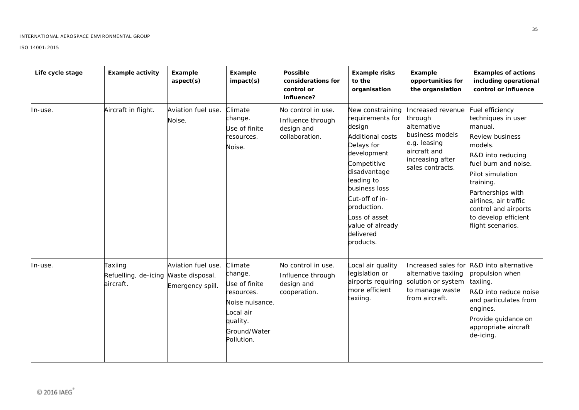| Life cycle stage | <b>Example activity</b>                                      | Example<br>aspect(s)                   | Example<br>impact(s)                                                                                                        | <b>Possible</b><br>considerations for<br>control or<br>influence?       | <b>Example risks</b><br>to the<br>organisation                                                                                                                                                                                                                       | Example<br>opportunities for<br>the organsiation                                                                                       | <b>Examples of actions</b><br>including operational<br>control or influence                                                                                                                                                                                                           |
|------------------|--------------------------------------------------------------|----------------------------------------|-----------------------------------------------------------------------------------------------------------------------------|-------------------------------------------------------------------------|----------------------------------------------------------------------------------------------------------------------------------------------------------------------------------------------------------------------------------------------------------------------|----------------------------------------------------------------------------------------------------------------------------------------|---------------------------------------------------------------------------------------------------------------------------------------------------------------------------------------------------------------------------------------------------------------------------------------|
| lln-use.         | Aircraft in flight.                                          | Aviation fuel use.<br>Noise.           | Climate<br>change.<br>Jse of finite<br>esources.<br>Noise.                                                                  | No control in use.<br>Influence through<br>design and<br>collaboration. | New constraining<br>requirements for<br>design<br><b>Additional costs</b><br>Delays for<br>development<br>Competitive<br>disadvantage<br>leading to<br>business loss<br>Cut-off of in-<br>production.<br>Loss of asset<br>value of already<br>delivered<br>products. | Increased revenue<br>through<br>alternative<br>business models<br>e.g. leasing<br>aircraft and<br>increasing after<br>sales contracts. | uel efficiency<br>techniques in user<br>manual.<br><b>Review business</b><br>models.<br>R&D into reducing<br>fuel burn and noise.<br>Pilot simulation<br>training.<br>Partnerships with<br>airlines, air traffic<br>control and airports<br>to develop efficient<br>flight scenarios. |
| In-use.          | Taxiing<br>Refuelling, de-icing Waste disposal.<br>aircraft. | Aviation fuel use.<br>Emergency spill. | Climate<br>change.<br>Use of finite<br>resources.<br>Noise nuisance.<br>ocal air.<br>quality.<br>Ground/Water<br>Pollution. | No control in use.<br>Influence through<br>design and<br>cooperation.   | Local air quality<br>legislation or<br>airports requiring<br>more efficient<br>taxiing.                                                                                                                                                                              | Increased sales for<br>alternative taxiing<br>solution or system<br>to manage waste<br>from aircraft.                                  | R&D into alternative<br>propulsion when<br>taxiing.<br>R&D into reduce noise<br>and particulates from<br>engines.<br>Provide guidance on<br>appropriate aircraft<br>de-icing.                                                                                                         |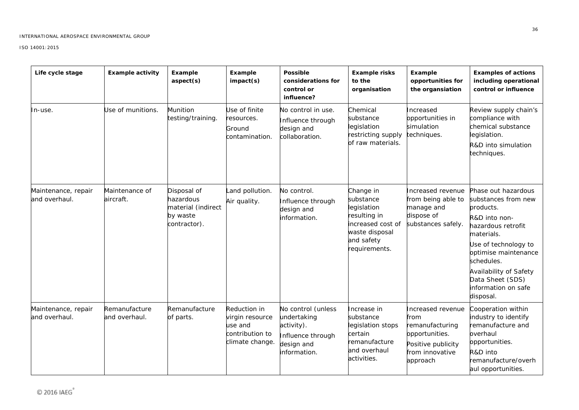| Life cycle stage                     | <b>Example activity</b>        | Example<br>aspect(s)                                                       | Example<br>impact(s)                                                             | <b>Possible</b><br>considerations for<br>control or<br>influence?                                  | <b>Example risks</b><br>to the<br>organisation                                                                              | Example<br>opportunities for<br>the organsiation                                                                    | <b>Examples of actions</b><br>including operational<br>control or influence                                                                                                                                                                                  |
|--------------------------------------|--------------------------------|----------------------------------------------------------------------------|----------------------------------------------------------------------------------|----------------------------------------------------------------------------------------------------|-----------------------------------------------------------------------------------------------------------------------------|---------------------------------------------------------------------------------------------------------------------|--------------------------------------------------------------------------------------------------------------------------------------------------------------------------------------------------------------------------------------------------------------|
| ln-use.                              | Use of munitions.              | <b>Munition</b><br>testing/training.                                       | Use of finite<br>resources.<br>Ground<br>contamination.                          | No control in use.<br>Influence through<br>design and<br>collaboration.                            | Chemical<br>substance<br>legislation<br>restricting supply<br>of raw materials.                                             | Increased<br>opportunities in<br>simulation<br>techniques.                                                          | Review supply chain's<br>compliance with<br>chemical substance<br>legislation.<br>R&D into simulation<br>techniques.                                                                                                                                         |
| Maintenance, repair<br>and overhaul. | Maintenance of<br>aircraft.    | Disposal of<br>hazardous<br>material (indirect<br>by waste<br>contractor). | Land pollution.<br>Air quality.                                                  | No control.<br>Influence through<br>design and<br>information.                                     | Change in<br>substance<br>legislation<br>resulting in<br>increased cost of<br>waste disposal<br>and safety<br>requirements. | Increased revenue<br>from being able to<br>manage and<br>dispose of<br>substances safely.                           | Phase out hazardous<br>substances from new<br>products.<br>R&D into non-<br>hazardous retrofit<br>materials.<br>Use of technology to<br>optimise maintenance<br>schedules.<br>Availability of Safety<br>Data Sheet (SDS)<br>information on safe<br>disposal. |
| Maintenance, repair<br>and overhaul. | Remanufacture<br>and overhaul. | Remanufacture<br>of parts.                                                 | Reduction in<br>virgin resource<br>use and<br>contribution to<br>climate change. | No control (unless<br>undertaking<br>activity).<br>Influence through<br>design and<br>information. | Increase in<br>substance<br>legislation stops<br>certain<br>remanufacture<br>and overhaul<br>activities.                    | Increased revenue<br>from<br>remanufacturing<br>opportunities.<br>Positive publicity<br>from innovative<br>approach | Cooperation within<br>industry to identify<br>remanufacture and<br>overhaul<br>opportunities.<br>R&D into<br>remanufacture/overh<br>aul opportunities.                                                                                                       |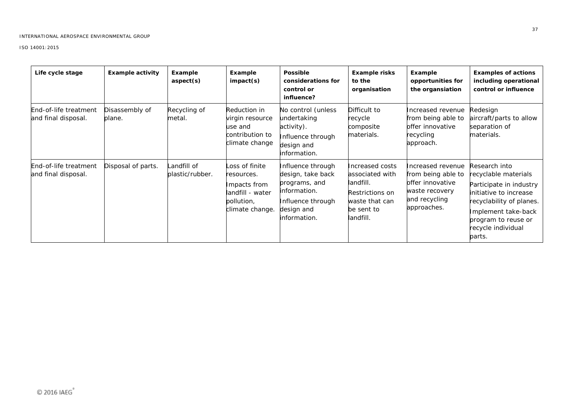| Life cycle stage                             | <b>Example activity</b>  | Example<br>aspect(s)           | Example<br>impact(s)                                                                              | <b>Possible</b><br>considerations for<br>control or<br>influence?                                                          | <b>Example risks</b><br>to the<br>organisation                                                                  | Example<br>opportunities for<br>the organsiation                                                              | <b>Examples of actions</b><br>including operational<br>control or influence                                                                                                                          |
|----------------------------------------------|--------------------------|--------------------------------|---------------------------------------------------------------------------------------------------|----------------------------------------------------------------------------------------------------------------------------|-----------------------------------------------------------------------------------------------------------------|---------------------------------------------------------------------------------------------------------------|------------------------------------------------------------------------------------------------------------------------------------------------------------------------------------------------------|
| End-of-life treatment<br>and final disposal. | Disassembly of<br>plane. | Recycling of<br>metal.         | Reduction in<br>virgin resource<br>use and<br>contribution to<br>climate change                   | No control (unless<br>undertaking<br>activity).<br>Influence through<br>design and<br>information.                         | Difficult to<br>recycle<br>composite<br>materials.                                                              | Increased revenue<br>from being able to<br>offer innovative<br>recycling<br>approach.                         | Redesign<br>aircraft/parts to allow<br>separation of<br>materials.                                                                                                                                   |
| End-of-life treatment<br>and final disposal. | Disposal of parts.       | Landfill of<br>plastic/rubber. | Loss of finite<br>resources.<br>Impacts from<br>landfill - water<br>pollution,<br>climate change. | Influence through<br>design, take back<br>programs, and<br>information.<br>Influence through<br>design and<br>information. | Increased costs<br>associated with<br>landfill.<br>Restrictions on<br>waste that can<br>be sent to<br>landfill. | Increased revenue<br>from being able to<br>offer innovative<br>waste recovery<br>and recycling<br>approaches. | Research into<br>recyclable materials<br>Participate in industry<br>initiative to increase<br>recyclability of planes.<br>Implement take-back<br>program to reuse or<br>recycle individual<br>parts. |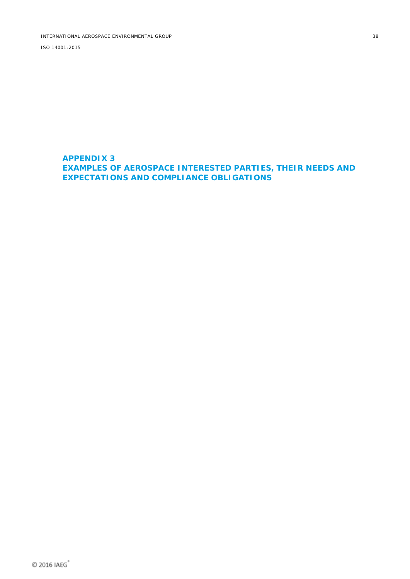### <span id="page-42-0"></span>**APPENDIX 3 EXAMPLES OF AEROSPACE INTERESTED PARTIES, THEIR NEEDS AND EXPECTATIONS AND COMPLIANCE OBLIGATIONS**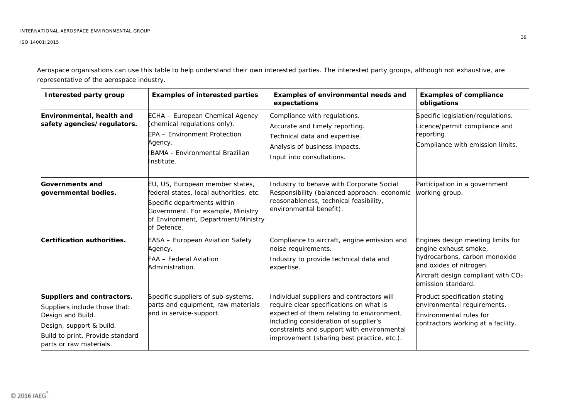Aerospace organisations can use this table to help understand their own interested parties. The interested party groups, although not exhaustive, are representative of the aerospace industry.

| <b>Interested party group</b>                                                                                                                                               | <b>Examples of interested parties</b>                                                                                                                                                                | Examples of environmental needs and<br>expectations                                                                                                                                                                                                                    | <b>Examples of compliance</b><br>obligations                                                                                                                                         |
|-----------------------------------------------------------------------------------------------------------------------------------------------------------------------------|------------------------------------------------------------------------------------------------------------------------------------------------------------------------------------------------------|------------------------------------------------------------------------------------------------------------------------------------------------------------------------------------------------------------------------------------------------------------------------|--------------------------------------------------------------------------------------------------------------------------------------------------------------------------------------|
| Environmental, health and<br>safety agencies/regulators.                                                                                                                    | ECHA - European Chemical Agency<br>(chemical regulations only).<br><b>EPA - Environment Protection</b><br>Agency.<br><b>BAMA - Environmental Brazilian</b><br>nstitute.                              | Compliance with regulations.<br>Accurate and timely reporting.<br>Technical data and expertise.<br>Analysis of business impacts.<br>Input into consultations.                                                                                                          | Specific legislation/regulations.<br>icence/permit compliance and<br>reporting.<br>Compliance with emission limits.                                                                  |
| <b>Governments and</b><br>governmental bodies.                                                                                                                              | EU, US, European member states,<br>federal states, local authorities, etc.<br>Specific departments within<br>Government. For example, Ministry<br>of Environment, Department/Ministry<br>of Defence. | Industry to behave with Corporate Social<br>Responsibility (balanced approach: economic<br>reasonableness, technical feasibility,<br>environmental benefit).                                                                                                           | Participation in a government<br>working group.                                                                                                                                      |
| Certification authorities.                                                                                                                                                  | EASA - European Aviation Safety<br>Agency.<br>-AA - Federal Aviation<br>Administration.                                                                                                              | Compliance to aircraft, engine emission and<br>noise requirements.<br>Industry to provide technical data and<br>expertise.                                                                                                                                             | Engines design meeting limits for<br>engine exhaust smoke,<br>hydrocarbons, carbon monoxide<br>and oxides of nitrogen.<br>Aircraft design compliant with $CO2$<br>emission standard. |
| Suppliers and contractors.<br>Suppliers include those that:<br>Design and Build.<br>Design, support & build.<br>Build to print. Provide standard<br>parts or raw materials. | Specific suppliers of sub-systems,<br>parts and equipment, raw materials<br>and in service-support.                                                                                                  | Individual suppliers and contractors will<br>require clear specifications on what is<br>expected of them relating to environment,<br>including consideration of supplier's<br>constraints and support with environmental<br>improvement (sharing best practice, etc.). | Product specification stating<br>environmental requirements.<br>Environmental rules for<br>contractors working at a facility.                                                        |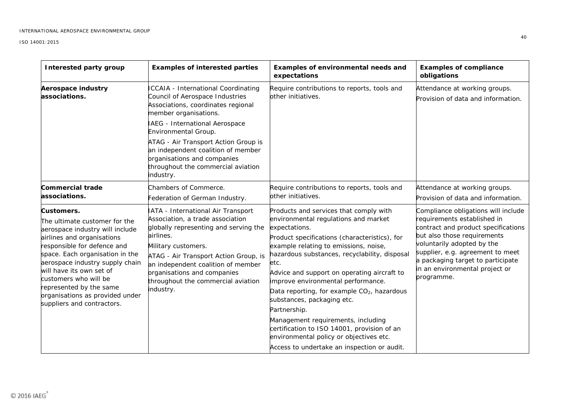| Interested party group                                                                                                                                                                                                                                                                                                                                             | <b>Examples of interested parties</b>                                                                                                                                                                                                                                                                                                                                  | Examples of environmental needs and<br>expectations                                                                                                                                                                                                                                                                                                                                                                                                                                                                                                                                                                             | <b>Examples of compliance</b><br>obligations                                                                                                                                                                                                                                                    |
|--------------------------------------------------------------------------------------------------------------------------------------------------------------------------------------------------------------------------------------------------------------------------------------------------------------------------------------------------------------------|------------------------------------------------------------------------------------------------------------------------------------------------------------------------------------------------------------------------------------------------------------------------------------------------------------------------------------------------------------------------|---------------------------------------------------------------------------------------------------------------------------------------------------------------------------------------------------------------------------------------------------------------------------------------------------------------------------------------------------------------------------------------------------------------------------------------------------------------------------------------------------------------------------------------------------------------------------------------------------------------------------------|-------------------------------------------------------------------------------------------------------------------------------------------------------------------------------------------------------------------------------------------------------------------------------------------------|
| <b>Aerospace industry</b><br>associations.                                                                                                                                                                                                                                                                                                                         | <b>ICCAIA - International Coordinating</b><br>Council of Aerospace Industries<br>Associations, coordinates regional<br>member organisations.<br>IAEG - International Aerospace<br>Environmental Group.<br>ATAG - Air Transport Action Group is<br>an independent coalition of member<br>organisations and companies<br>throughout the commercial aviation<br>industry. | Require contributions to reports, tools and<br>other initiatives.                                                                                                                                                                                                                                                                                                                                                                                                                                                                                                                                                               | Attendance at working groups.<br>Provision of data and information.                                                                                                                                                                                                                             |
| <b>Commercial trade</b><br>associations.                                                                                                                                                                                                                                                                                                                           | Chambers of Commerce.<br>Federation of German Industry.                                                                                                                                                                                                                                                                                                                | Require contributions to reports, tools and<br>other initiatives.                                                                                                                                                                                                                                                                                                                                                                                                                                                                                                                                                               | Attendance at working groups.<br>Provision of data and information.                                                                                                                                                                                                                             |
| Customers.<br>The ultimate customer for the<br>aerospace industry will include<br>airlines and organisations<br>responsible for defence and<br>space. Each organisation in the<br>aerospace industry supply chain<br>will have its own set of<br>customers who will be<br>represented by the same<br>organisations as provided under<br>suppliers and contractors. | IATA - International Air Transport<br>Association, a trade association<br>globally representing and serving the<br>airlines.<br>Military customers.<br>ATAG - Air Transport Action Group, is<br>an independent coalition of member<br>organisations and companies<br>throughout the commercial aviation<br>industry.                                                   | Products and services that comply with<br>environmental regulations and market<br>expectations.<br>Product specifications (characteristics), for<br>example relating to emissions, noise,<br>hazardous substances, recyclability, disposal<br>etc.<br>Advice and support on operating aircraft to<br>improve environmental performance.<br>Data reporting, for example CO <sub>2</sub> , hazardous<br>substances, packaging etc.<br>Partnership.<br>Management requirements, including<br>certification to ISO 14001, provision of an<br>environmental policy or objectives etc.<br>Access to undertake an inspection or audit. | Compliance obligations will include<br>requirements established in<br>contract and product specifications<br>but also those requirements<br>voluntarily adopted by the<br>supplier, e.g. agreement to meet<br>a packaging target to participate<br>in an environmental project or<br>programme. |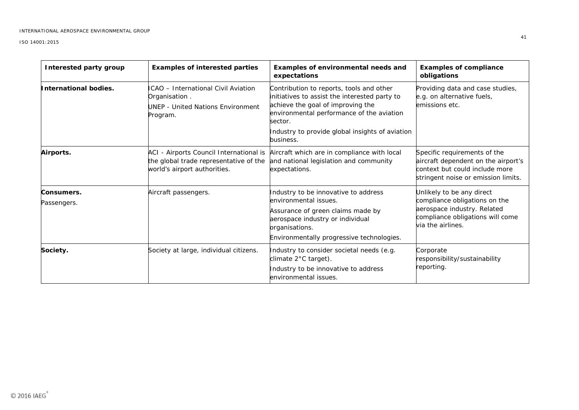| Interested party group    | <b>Examples of interested parties</b>                                                                             | Examples of environmental needs and<br>expectations                                                                                                                                                                                                    | <b>Examples of compliance</b><br>obligations                                                                                                       |
|---------------------------|-------------------------------------------------------------------------------------------------------------------|--------------------------------------------------------------------------------------------------------------------------------------------------------------------------------------------------------------------------------------------------------|----------------------------------------------------------------------------------------------------------------------------------------------------|
| International bodies.     | ICAO - International Civil Aviation<br>Organisation.<br>UNEP - United Nations Environment<br>Program.             | Contribution to reports, tools and other<br>initiatives to assist the interested party to<br>achieve the goal of improving the<br>environmental performance of the aviation<br>sector.<br>Industry to provide global insights of aviation<br>business. | Providing data and case studies,<br>e.g. on alternative fuels,<br>emissions etc.                                                                   |
| Airports.                 | ACI - Airports Council International is<br>the global trade representative of the<br>world's airport authorities. | Aircraft which are in compliance with local<br>and national legislation and community<br>expectations.                                                                                                                                                 | Specific requirements of the<br>aircraft dependent on the airport's<br>context but could include more<br>stringent noise or emission limits.       |
| Consumers.<br>Passengers. | Aircraft passengers.                                                                                              | Industry to be innovative to address<br>environmental issues.<br>Assurance of green claims made by<br>aerospace industry or individual<br>organisations.<br>Environmentally progressive technologies.                                                  | Unlikely to be any direct<br>compliance obligations on the<br>aerospace industry. Related<br>compliance obligations will come<br>via the airlines. |
| Society.                  | Society at large, individual citizens.                                                                            | Industry to consider societal needs (e.g.<br>climate 2°C target).<br>Industry to be innovative to address<br>environmental issues.                                                                                                                     | Corporate<br>responsibility/sustainability<br>reporting.                                                                                           |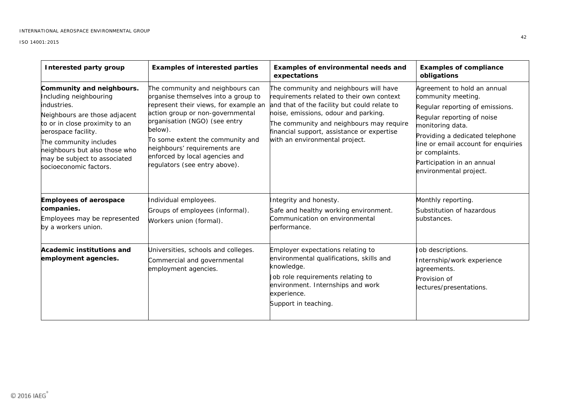| Interested party group                                                                                                                                                                                                                                                            | <b>Examples of interested parties</b>                                                                                                                                                                                                                                                                                                   | Examples of environmental needs and<br>expectations                                                                                                                                                                                                                                                     | <b>Examples of compliance</b><br>obligations                                                                                                                                                                                                                                               |
|-----------------------------------------------------------------------------------------------------------------------------------------------------------------------------------------------------------------------------------------------------------------------------------|-----------------------------------------------------------------------------------------------------------------------------------------------------------------------------------------------------------------------------------------------------------------------------------------------------------------------------------------|---------------------------------------------------------------------------------------------------------------------------------------------------------------------------------------------------------------------------------------------------------------------------------------------------------|--------------------------------------------------------------------------------------------------------------------------------------------------------------------------------------------------------------------------------------------------------------------------------------------|
| Community and neighbours.<br>Including neighbouring<br>industries.<br>Neighbours are those adjacent<br>to or in close proximity to an<br>aerospace facility.<br>The community includes<br>neighbours but also those who<br>may be subject to associated<br>socioeconomic factors. | The community and neighbours can<br>organise themselves into a group to<br>represent their views, for example an<br>action group or non-governmental<br>prganisation (NGO) (see entry<br>below).<br>To some extent the community and<br>neighbours' requirements are<br>enforced by local agencies and<br>regulators (see entry above). | The community and neighbours will have<br>requirements related to their own context<br>and that of the facility but could relate to<br>noise, emissions, odour and parking.<br>The community and neighbours may require<br>financial support, assistance or expertise<br>with an environmental project. | Agreement to hold an annual<br>community meeting.<br>Regular reporting of emissions.<br>Regular reporting of noise<br>monitoring data.<br>Providing a dedicated telephone<br>line or email account for enquiries<br>or complaints.<br>Participation in an annual<br>environmental project. |
| <b>Employees of aerospace</b><br>companies.<br>Employees may be represented<br>by a workers union.                                                                                                                                                                                | Individual employees.<br>Groups of employees (informal).<br>Workers union (formal).                                                                                                                                                                                                                                                     | Integrity and honesty.<br>Safe and healthy working environment.<br>Communication on environmental<br>performance.                                                                                                                                                                                       | Monthly reporting.<br>Substitution of hazardous<br>substances.                                                                                                                                                                                                                             |
| Academic institutions and<br>employment agencies.                                                                                                                                                                                                                                 | Universities, schools and colleges.<br>Commercial and governmental<br>employment agencies.                                                                                                                                                                                                                                              | Employer expectations relating to<br>environmental qualifications, skills and<br>knowledge.<br>Job role requirements relating to<br>environment. Internships and work<br>experience.<br>Support in teaching.                                                                                            | Job descriptions.<br>Internship/work experience<br>agreements.<br>Provision of<br>lectures/presentations.                                                                                                                                                                                  |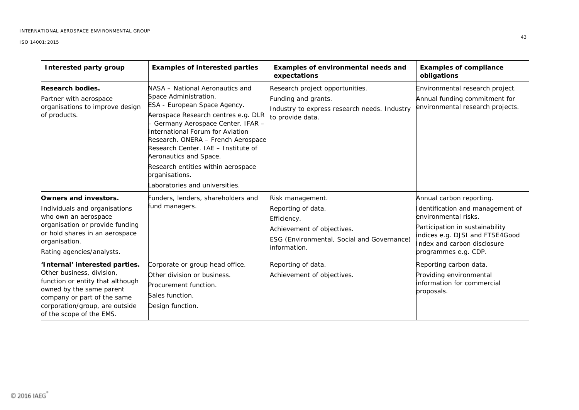| Interested party group                                                                                                                                                                                                   | <b>Examples of interested parties</b>                                                                                                                                                                                                                                                                                                                                                                   | Examples of environmental needs and<br>expectations                                                                                               | <b>Examples of compliance</b><br>obligations                                                                                                                                                                      |
|--------------------------------------------------------------------------------------------------------------------------------------------------------------------------------------------------------------------------|---------------------------------------------------------------------------------------------------------------------------------------------------------------------------------------------------------------------------------------------------------------------------------------------------------------------------------------------------------------------------------------------------------|---------------------------------------------------------------------------------------------------------------------------------------------------|-------------------------------------------------------------------------------------------------------------------------------------------------------------------------------------------------------------------|
| Research bodies.<br>Partner with aerospace<br>organisations to improve design<br>of products.                                                                                                                            | NASA - National Aeronautics and<br>Space Administration.<br>ESA - European Space Agency.<br>Aerospace Research centres e.g. DLR<br>Germany Aerospace Center. IFAR -<br>International Forum for Aviation<br>Research. ONERA - French Aerospace<br>Research Center. IAE - Institute of<br>Aeronautics and Space.<br>Research entities within aerospace<br>organisations.<br>aboratories and universities. | Research project opportunities.<br>Funding and grants.<br>Industry to express research needs. Industry<br>to provide data.                        | Environmental research project.<br>Annual funding commitment for<br>environmental research projects.                                                                                                              |
| Owners and investors.<br>Individuals and organisations<br>who own an aerospace<br>organisation or provide funding<br>or hold shares in an aerospace<br>organisation.<br>Rating agencies/analysts.                        | unders, lenders, shareholders and<br>fund managers.                                                                                                                                                                                                                                                                                                                                                     | Risk management.<br>Reporting of data.<br>Efficiency.<br>Achievement of objectives.<br>ESG (Environmental, Social and Governance)<br>information. | Annual carbon reporting.<br>Identification and management of<br>environmental risks.<br>Participation in sustainability<br>indices e.g. DJSI and FTSE4Good<br>Index and carbon disclosure<br>programmes e.g. CDP. |
| 'Internal' interested parties.<br>Other business, division,<br>function or entity that although<br>owned by the same parent<br>company or part of the same<br>corporation/group, are outside<br>of the scope of the EMS. | Corporate or group head office.<br>Other division or business.<br>Procurement function.<br>Sales function.<br>Design function.                                                                                                                                                                                                                                                                          | Reporting of data.<br>Achievement of objectives.                                                                                                  | Reporting carbon data.<br>Providing environmental<br>nformation for commercial<br>proposals.                                                                                                                      |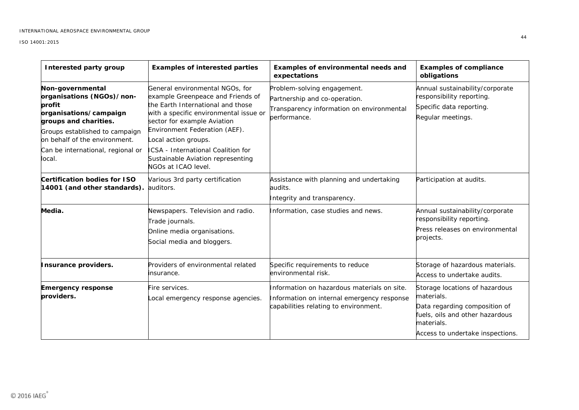| <b>Interested party group</b>                                                                                                                                                                                                | <b>Examples of interested parties</b>                                                                                                                                                                                                                                                                                                         | Examples of environmental needs and<br>expectations                                                                                | <b>Examples of compliance</b><br>obligations                                                                                                                       |
|------------------------------------------------------------------------------------------------------------------------------------------------------------------------------------------------------------------------------|-----------------------------------------------------------------------------------------------------------------------------------------------------------------------------------------------------------------------------------------------------------------------------------------------------------------------------------------------|------------------------------------------------------------------------------------------------------------------------------------|--------------------------------------------------------------------------------------------------------------------------------------------------------------------|
| Non-governmental<br>organisations (NGOs)/non-<br>profit<br>organisations/campaign<br>groups and charities.<br>Groups established to campaign<br>on behalf of the environment.<br>Can be international, regional or<br>local. | General environmental NGOs, for<br>example Greenpeace and Friends of<br>the Earth International and those<br>with a specific environmental issue or<br>sector for example Aviation<br>Environment Federation (AEF).<br>Local action groups.<br>ICSA - International Coalition for<br>Sustainable Aviation representing<br>NGOs at ICAO level. | Problem-solving engagement.<br>Partnership and co-operation.<br>Transparency information on environmental<br>performance.          | Annual sustainability/corporate<br>responsibility reporting.<br>Specific data reporting.<br>Regular meetings.                                                      |
| <b>Certification bodies for ISO</b><br>14001 (and other standards).                                                                                                                                                          | Various 3rd party certification<br>auditors.                                                                                                                                                                                                                                                                                                  | Assistance with planning and undertaking<br>audits.<br>Integrity and transparency.                                                 | Participation at audits.                                                                                                                                           |
| Media.                                                                                                                                                                                                                       | Newspapers. Television and radio.<br>Trade journals.<br>Online media organisations.<br>Social media and bloggers.                                                                                                                                                                                                                             | Information, case studies and news.                                                                                                | Annual sustainability/corporate<br>responsibility reporting.<br>Press releases on environmental<br>projects.                                                       |
| Insurance providers.                                                                                                                                                                                                         | Providers of environmental related<br>insurance.                                                                                                                                                                                                                                                                                              | Specific requirements to reduce<br>environmental risk.                                                                             | Storage of hazardous materials.<br>Access to undertake audits.                                                                                                     |
| <b>Emergency response</b><br>providers.                                                                                                                                                                                      | Fire services.<br>ocal emergency response agencies.                                                                                                                                                                                                                                                                                           | Information on hazardous materials on site.<br>Information on internal emergency response<br>capabilities relating to environment. | Storage locations of hazardous<br>materials.<br>Data regarding composition of<br>fuels, oils and other hazardous<br>materials.<br>Access to undertake inspections. |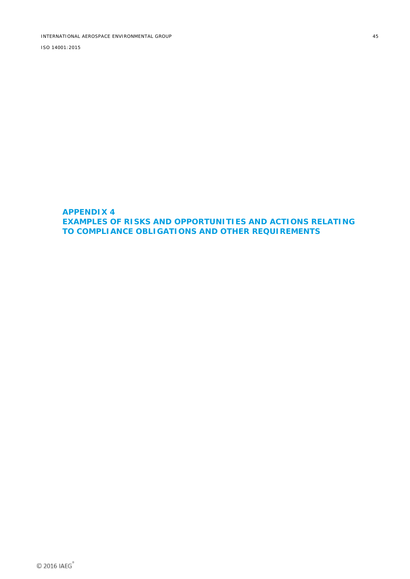#### <span id="page-49-0"></span>**APPENDIX 4 EXAMPLES OF RISKS AND OPPORTUNITIES AND ACTIONS RELATING TO COMPLIANCE OBLIGATIONS AND OTHER REQUIREMENTS**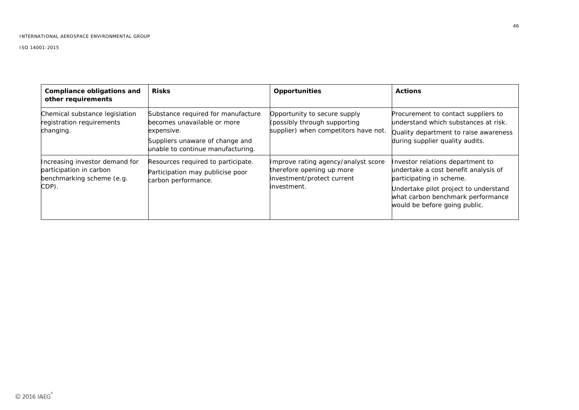| Compliance obligations and<br>other requirements                                                | <b>Risks</b>                                                                                                                                            | Opportunities                                                                                                 | <b>Actions</b>                                                                                                                                                                                                      |
|-------------------------------------------------------------------------------------------------|---------------------------------------------------------------------------------------------------------------------------------------------------------|---------------------------------------------------------------------------------------------------------------|---------------------------------------------------------------------------------------------------------------------------------------------------------------------------------------------------------------------|
| Chemical substance legislation<br>registration requirements<br>changing.                        | Substance required for manufacture<br>becomes unavailable or more<br>expensive.<br>Suppliers unaware of change and<br>unable to continue manufacturing. | Opportunity to secure supply<br>(possibly through supporting<br>supplier) when competitors have not           | Procurement to contact suppliers to<br>understand which substances at risk.<br>Quality department to raise awareness<br>during supplier quality audits.                                                             |
| Increasing investor demand for<br>participation in carbon<br>benchmarking scheme (e.g.<br>CDP). | Resources required to participate.<br>Participation may publicise poor<br>carbon performance.                                                           | Improve rating agency/analyst score<br>therefore opening up more<br>investment/protect current<br>investment. | Investor relations department to<br>undertake a cost benefit analysis of<br>participating in scheme.<br>Undertake pilot project to understand<br>what carbon benchmark performance<br>would be before going public. |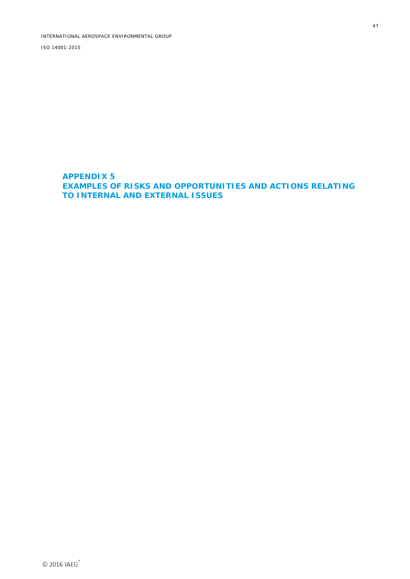<span id="page-51-0"></span>**APPENDIX 5 EXAMPLES OF RISKS AND OPPORTUNITIES AND ACTIONS RELATING TO INTERNAL AND EXTERNAL ISSUES**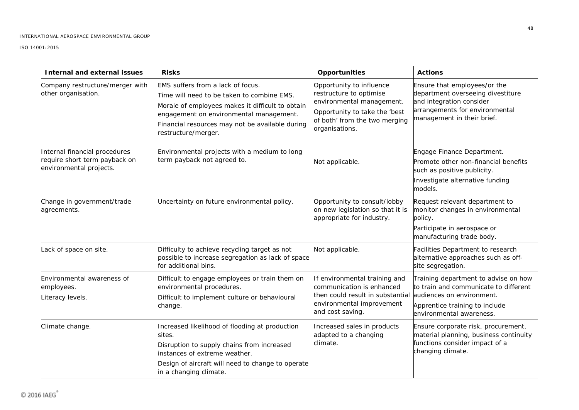| <b>Internal and external issues</b>                                                       | <b>Risks</b>                                                                                                                                                                                                                                             | Opportunities                                                                                                                                                        | <b>Actions</b>                                                                                                                                                           |
|-------------------------------------------------------------------------------------------|----------------------------------------------------------------------------------------------------------------------------------------------------------------------------------------------------------------------------------------------------------|----------------------------------------------------------------------------------------------------------------------------------------------------------------------|--------------------------------------------------------------------------------------------------------------------------------------------------------------------------|
| Company restructure/merger with<br>other organisation.                                    | EMS suffers from a lack of focus.<br>Time will need to be taken to combine EMS.<br>Morale of employees makes it difficult to obtain<br>engagement on environmental management.<br>Financial resources may not be available during<br>restructure/merger. | Opportunity to influence<br>restructure to optimise<br>environmental management.<br>Opportunity to take the 'best<br>of both' from the two merging<br>organisations. | Ensure that employees/or the<br>department overseeing divestiture<br>and integration consider<br>arrangements for environmental<br>management in their brief.            |
| Internal financial procedures<br>require short term payback on<br>environmental projects. | Environmental projects with a medium to long<br>term payback not agreed to.                                                                                                                                                                              | Not applicable.                                                                                                                                                      | Engage Finance Department.<br>Promote other non-financial benefits<br>such as positive publicity.<br>Investigate alternative funding<br>models.                          |
| Change in government/trade<br>agreements.                                                 | Uncertainty on future environmental policy.                                                                                                                                                                                                              | Opportunity to consult/lobby<br>on new legislation so that it is<br>appropriate for industry.                                                                        | Request relevant department to<br>monitor changes in environmental<br>policy.<br>Participate in aerospace or<br>manufacturing trade body.                                |
| Lack of space on site.                                                                    | Difficulty to achieve recycling target as not<br>possible to increase segregation as lack of space<br>for additional bins.                                                                                                                               | Not applicable.                                                                                                                                                      | Facilities Department to research<br>alternative approaches such as off-<br>site segregation.                                                                            |
| Environmental awareness of<br>employees.<br>Literacy levels.                              | Difficult to engage employees or train them on<br>environmental procedures.<br>Difficult to implement culture or behavioural<br>change.                                                                                                                  | f environmental training and<br>communication is enhanced<br>then could result in substantial<br>environmental improvement<br>and cost saving.                       | Training department to advise on how<br>to train and communicate to different<br>audiences on environment.<br>Apprentice training to include<br>environmental awareness. |
| Climate change.                                                                           | Increased likelihood of flooding at production<br>sites.<br>Disruption to supply chains from increased<br>instances of extreme weather.<br>Design of aircraft will need to change to operate<br>in a changing climate.                                   | Increased sales in products<br>adapted to a changing<br>climate.                                                                                                     | Ensure corporate risk, procurement,<br>material planning, business continuity<br>functions consider impact of a<br>changing climate.                                     |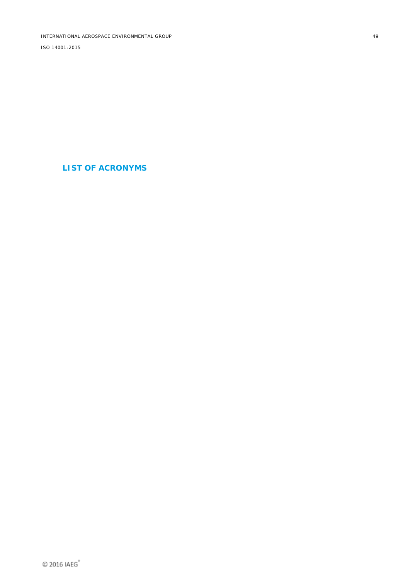<span id="page-53-0"></span>INTERNATIONAL AEROSPACE ENVIRONMENTAL GROUP ISO 14001:2015

**LIST OF ACRONYMS**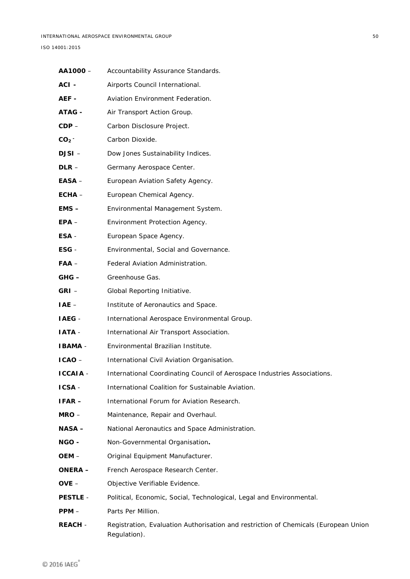| AA1000-         | Accountability Assurance Standards.                                                                 |
|-----------------|-----------------------------------------------------------------------------------------------------|
| ACI-            | Airports Council International.                                                                     |
| AEF -           | Aviation Environment Federation.                                                                    |
| <b>ATAG -</b>   | Air Transport Action Group.                                                                         |
| $CDP -$         | Carbon Disclosure Project.                                                                          |
| CO <sub>2</sub> | Carbon Dioxide.                                                                                     |
| $DJSI -$        | Dow Jones Sustainability Indices.                                                                   |
| $DLR -$         | Germany Aerospace Center.                                                                           |
| EASA –          | European Aviation Safety Agency.                                                                    |
| $ECHA -$        | European Chemical Agency.                                                                           |
| $EMS -$         | Environmental Management System.                                                                    |
| $EPA -$         | Environment Protection Agency.                                                                      |
| ESA -           | European Space Agency.                                                                              |
| $ESG -$         | Environmental, Social and Governance.                                                               |
| $FAA -$         | Federal Aviation Administration.                                                                    |
| $GHG -$         | Greenhouse Gas.                                                                                     |
| $GRI -$         | Global Reporting Initiative.                                                                        |
| $IAE -$         | Institute of Aeronautics and Space.                                                                 |
| IAEG-           | International Aerospace Environmental Group.                                                        |
| <b>IATA -</b>   | International Air Transport Association.                                                            |
| <b>IBAMA -</b>  | Environmental Brazilian Institute.                                                                  |
| $ICAO -$        | International Civil Aviation Organisation.                                                          |
| <b>ICCAIA -</b> | International Coordinating Council of Aerospace Industries Associations.                            |
| <b>ICSA-</b>    | International Coalition for Sustainable Aviation.                                                   |
| $IFAR -$        | International Forum for Aviation Research.                                                          |
| $MRO -$         | Maintenance, Repair and Overhaul.                                                                   |
| <b>NASA –</b>   | National Aeronautics and Space Administration.                                                      |
| NGO -           | Non-Governmental Organisation.                                                                      |
| OEM-            | Original Equipment Manufacturer.                                                                    |
| <b>ONERA –</b>  | French Aerospace Research Center.                                                                   |
| $OVE -$         | Objective Verifiable Evidence.                                                                      |
| <b>PESTLE -</b> | Political, Economic, Social, Technological, Legal and Environmental.                                |
| $PPM -$         | Parts Per Million.                                                                                  |
| <b>REACH -</b>  | Registration, Evaluation Authorisation and restriction of Chemicals (European Union<br>Regulation). |